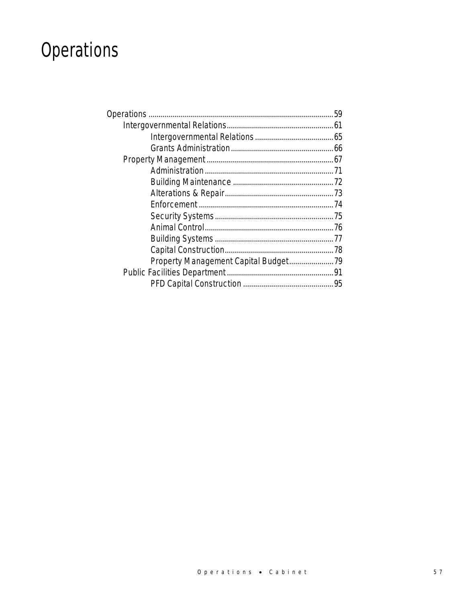# Operations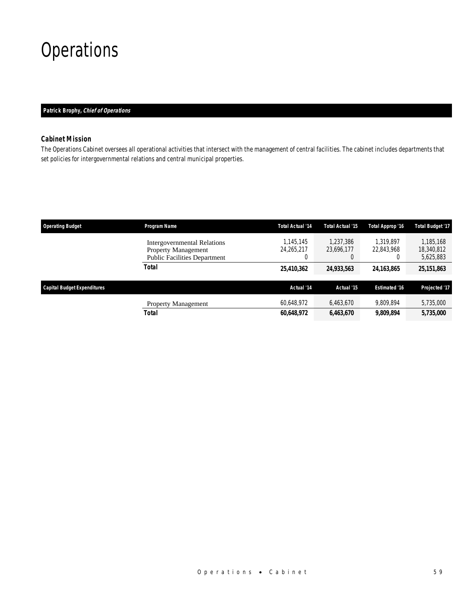## **Operations**

### *Patrick Brophy, Chief of Operations*

### *Cabinet Mission*

The Operations Cabinet oversees all operational activities that intersect with the management of central facilities. The cabinet includes departments that set policies for intergovernmental relations and central municipal properties.

| <b>Operating Budget</b>            | Program Name                                                                                            | <b>Total Actual '14</b>      | <b>Total Actual '15</b>             | Total Approp '16        | <b>Total Budget '17</b>              |
|------------------------------------|---------------------------------------------------------------------------------------------------------|------------------------------|-------------------------------------|-------------------------|--------------------------------------|
|                                    | <b>Intergovernmental Relations</b><br><b>Property Management</b><br><b>Public Facilities Department</b> | 1.145.145<br>24.265.217<br>0 | 1.237.386<br>23.696.177<br>$\left($ | 1.319.897<br>22.843.968 | 1.185.168<br>18,340,812<br>5,625,883 |
|                                    | <b>Total</b>                                                                                            | 25,410,362                   | 24,933,563                          | 24,163,865              | 25,151,863                           |
|                                    |                                                                                                         | Actual '14                   | Actual '15                          | <b>Estimated '16</b>    |                                      |
| <b>Capital Budget Expenditures</b> |                                                                                                         |                              |                                     |                         | Projected '17                        |
|                                    | <b>Property Management</b>                                                                              | 60,648,972                   | 6,463,670                           | 9.809.894               | 5,735,000                            |
|                                    | <b>Total</b>                                                                                            | 60,648,972                   | 6,463,670                           | 9,809,894               | 5,735,000                            |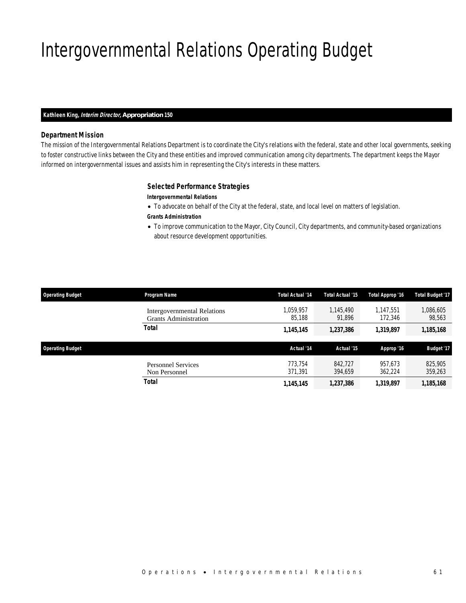# Intergovernmental Relations Operating Budget

### *Kathleen King, Interim Director, Appropriation 150*

### *Department Mission*

The mission of the Intergovernmental Relations Department is to coordinate the City's relations with the federal, state and other local governments, seeking to foster constructive links between the City and these entities and improved communication among city departments. The department keeps the Mayor informed on intergovernmental issues and assists him in representing the City's interests in these matters.

### *Selected Performance Strategies*

### *Intergovernmental Relations*

- To advocate on behalf of the City at the federal, state, and local level on matters of legislation.
- *Grants Administration*
- To improve communication to the Mayor, City Council, City departments, and community-based organizations about resource development opportunities.

| <b>Operating Budget</b> | Program Name                                                | <b>Total Actual '14</b> | Total Actual '15    | Total Approp '16     | <b>Total Budget '17</b> |
|-------------------------|-------------------------------------------------------------|-------------------------|---------------------|----------------------|-------------------------|
|                         | Intergovernmental Relations<br><b>Grants Administration</b> | 1,059,957<br>85.188     | 1.145.490<br>91.896 | 1.147.551<br>172,346 | 1,086,605<br>98,563     |
|                         | Total                                                       | 1,145,145               | 1,237,386           | 1,319,897            | 1,185,168               |
| <b>Operating Budget</b> |                                                             | Actual '14              | Actual '15          | Approp '16           | <b>Budget '17</b>       |
|                         | <b>Personnel Services</b><br>Non Personnel                  | 773.754<br>371.391      | 842.727<br>394.659  | 957.673<br>362.224   | 825,905<br>359,263      |
|                         |                                                             |                         |                     |                      |                         |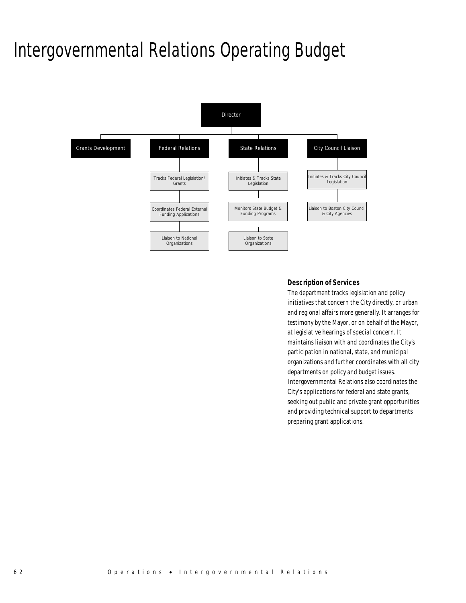### Intergovernmental Relations Operating Budget



### *Description of Services*

The department tracks legislation and policy initiatives that concern the City directly, or urban and regional affairs more generally. It arranges for testimony by the Mayor, or on behalf of the Mayor, at legislative hearings of special concern. It maintains liaison with and coordinates the City's participation in national, state, and municipal organizations and further coordinates with all city departments on policy and budget issues. Intergovernmental Relations also coordinates the City's applications for federal and state grants, seeking out public and private grant opportunities and providing technical support to departments preparing grant applications.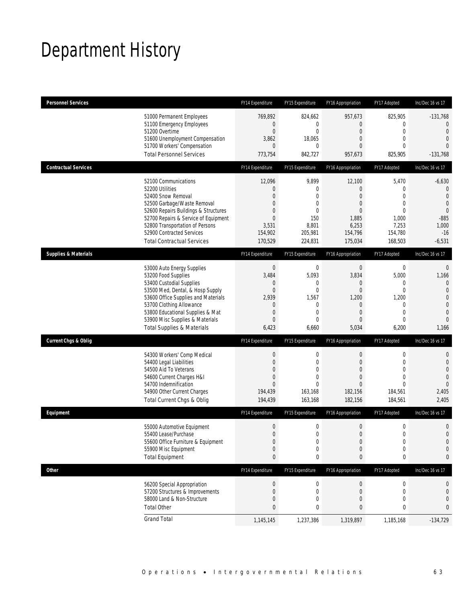## Department History

| <b>Personnel Services</b>       |                                                                                                                                                                                                                                                                                                      | FY14 Expenditure                                                                                         | FY15 Expenditure                                                                                        | FY16 Appropriation                                                                                          | FY17 Adopted                                                                                                     | Inc/Dec 16 vs 17                                                                                                            |
|---------------------------------|------------------------------------------------------------------------------------------------------------------------------------------------------------------------------------------------------------------------------------------------------------------------------------------------------|----------------------------------------------------------------------------------------------------------|---------------------------------------------------------------------------------------------------------|-------------------------------------------------------------------------------------------------------------|------------------------------------------------------------------------------------------------------------------|-----------------------------------------------------------------------------------------------------------------------------|
|                                 | 51000 Permanent Employees<br>51100 Emergency Employees<br>51200 Overtime<br>51600 Unemployment Compensation<br>51700 Workers' Compensation<br><b>Total Personnel Services</b>                                                                                                                        | 769,892<br>$\overline{0}$<br>$\boldsymbol{0}$<br>3,862<br>$\overline{0}$<br>773,754                      | 824,662<br>0<br>$\mathbf 0$<br>18,065<br>$\mathbf 0$<br>842,727                                         | 957,673<br>$\overline{0}$<br>$\overline{0}$<br>$\theta$<br>$\theta$<br>957,673                              | 825,905<br>0<br>$\mathbf 0$<br>$\mathbf{0}$<br>$\Omega$<br>825,905                                               | $-131,768$<br>$\mathbf{0}$<br>$\mathbf{0}$<br>$\overline{0}$<br>$\Omega$<br>$-131,768$                                      |
| <b>Contractual Services</b>     |                                                                                                                                                                                                                                                                                                      | FY14 Expenditure                                                                                         | FY15 Expenditure                                                                                        | FY16 Appropriation                                                                                          | FY17 Adopted                                                                                                     | Inc/Dec 16 vs 17                                                                                                            |
|                                 | 52100 Communications<br>52200 Utilities<br>52400 Snow Removal<br>52500 Garbage/Waste Removal<br>52600 Repairs Buildings & Structures<br>52700 Repairs & Service of Equipment<br>52800 Transportation of Persons<br>52900 Contracted Services<br><b>Total Contractual Services</b>                    | 12,096<br>0<br>$\Omega$<br>0<br>$\Omega$<br>$\mathbf{0}$<br>3,531<br>154,902<br>170,529                  | 9,899<br>$\mathbf 0$<br>$\Omega$<br>$\mathbf 0$<br>$\mathbf 0$<br>150<br>8,801<br>205,981<br>224,831    | 12,100<br>$\theta$<br>$\overline{0}$<br>$\theta$<br>$\theta$<br>1,885<br>6,253<br>154,796<br>175,034        | 5,470<br>$\mathbf 0$<br>$\overline{0}$<br>$\overline{0}$<br>$\mathbf{0}$<br>1,000<br>7,253<br>154,780<br>168,503 | $-6,630$<br>$\theta$<br>$\mathbf{0}$<br>$\overline{0}$<br>$\mathbf 0$<br>$-885$<br>1,000<br>$-16$<br>$-6,531$               |
| <b>Supplies &amp; Materials</b> |                                                                                                                                                                                                                                                                                                      | FY14 Expenditure                                                                                         | FY15 Expenditure                                                                                        | FY16 Appropriation                                                                                          | FY17 Adopted                                                                                                     | Inc/Dec 16 vs 17                                                                                                            |
|                                 | 53000 Auto Energy Supplies<br>53200 Food Supplies<br>53400 Custodial Supplies<br>53500 Med, Dental, & Hosp Supply<br>53600 Office Supplies and Materials<br>53700 Clothing Allowance<br>53800 Educational Supplies & Mat<br>53900 Misc Supplies & Materials<br><b>Total Supplies &amp; Materials</b> | $\boldsymbol{0}$<br>3,484<br>0<br>$\overline{0}$<br>2,939<br>0<br>$\mathbf 0$<br>$\overline{0}$<br>6,423 | $\mathbf 0$<br>5,093<br>0<br>$\mathbf 0$<br>1,567<br>$\mathbf 0$<br>$\mathbf 0$<br>$\mathbf 0$<br>6,660 | $\mathbf 0$<br>3,834<br>$\theta$<br>$\mathbf 0$<br>1,200<br>$\theta$<br>$\overline{0}$<br>$\theta$<br>5,034 | $\mathbf 0$<br>5,000<br>0<br>$\overline{0}$<br>1,200<br>0<br>$\mathbf{0}$<br>$\overline{0}$<br>6,200             | $\mathbf 0$<br>1,166<br>$\mathbf{0}$<br>$\overline{0}$<br>$\mathbf 0$<br>$\overline{0}$<br>$\mathbf 0$<br>$\Omega$<br>1,166 |
| <b>Current Chgs &amp; Oblig</b> |                                                                                                                                                                                                                                                                                                      | FY14 Expenditure                                                                                         | FY15 Expenditure                                                                                        | FY16 Appropriation                                                                                          | FY17 Adopted                                                                                                     | Inc/Dec 16 vs 17                                                                                                            |
|                                 | 54300 Workers' Comp Medical<br>54400 Legal Liabilities<br>54500 Aid To Veterans<br>54600 Current Charges H&I<br>54700 Indemnification<br>54900 Other Current Charges<br>Total Current Chgs & Oblig                                                                                                   | $\boldsymbol{0}$<br>$\boldsymbol{0}$<br>0<br>$\mathbf 0$<br>$\Omega$<br>194,439<br>194,439               | $\boldsymbol{0}$<br>$\mathbf 0$<br>$\mathbf 0$<br>$\mathbf{0}$<br>$\Omega$<br>163,168<br>163,168        | $\boldsymbol{0}$<br>$\overline{0}$<br>$\theta$<br>$\overline{0}$<br>$\Omega$<br>182,156<br>182,156          | $\boldsymbol{0}$<br>$\mathbf 0$<br>$\mathbf{0}$<br>$\mathbf{0}$<br>$\Omega$<br>184,561<br>184,561                | $\mathbf 0$<br>$\mathbf 0$<br>$\overline{0}$<br>$\overline{0}$<br>$\overline{0}$<br>2,405<br>2,405                          |
| Equipment                       |                                                                                                                                                                                                                                                                                                      | FY14 Expenditure                                                                                         | FY15 Expenditure                                                                                        | FY16 Appropriation                                                                                          | FY17 Adopted                                                                                                     | Inc/Dec 16 vs 17                                                                                                            |
|                                 | 55000 Automotive Equipment<br>55400 Lease/Purchase<br>55600 Office Furniture & Equipment<br>55900 Misc Equipment<br><b>Total Equipment</b>                                                                                                                                                           | $\boldsymbol{0}$<br>$\Omega$<br>$\boldsymbol{0}$<br>$\boldsymbol{0}$<br>0                                | 0<br>$\overline{0}$<br>0<br>$\mathbf 0$<br>0                                                            | $\boldsymbol{0}$<br>$\mathbf{0}$<br>$\boldsymbol{0}$<br>$\mathbf 0$<br>0                                    | $\mathbf 0$<br>$\overline{0}$<br>$\boldsymbol{0}$<br>$\mathbf 0$<br>0                                            | $\mathbf 0$<br>$\overline{0}$<br>$\mathbf 0$<br>$\mathbf 0$<br>0                                                            |
| <b>Other</b>                    |                                                                                                                                                                                                                                                                                                      | FY14 Expenditure                                                                                         | FY15 Expenditure                                                                                        | FY16 Appropriation                                                                                          | FY17 Adopted                                                                                                     | Inc/Dec 16 vs 17                                                                                                            |
|                                 | 56200 Special Appropriation<br>57200 Structures & Improvements<br>58000 Land & Non-Structure<br><b>Total Other</b>                                                                                                                                                                                   | $\boldsymbol{0}$<br>0<br>0<br>0                                                                          | 0<br>0<br>$\mathbf 0$<br>0                                                                              | $\theta$<br>$\mathbf 0$<br>$\mathbf 0$<br>0                                                                 | 0<br>0<br>0<br>0                                                                                                 | 0<br>$\mathbf 0$<br>$\mathbf 0$<br>0                                                                                        |
|                                 | <b>Grand Total</b>                                                                                                                                                                                                                                                                                   | 1,145,145                                                                                                | 1,237,386                                                                                               | 1,319,897                                                                                                   | 1,185,168                                                                                                        | $-134,729$                                                                                                                  |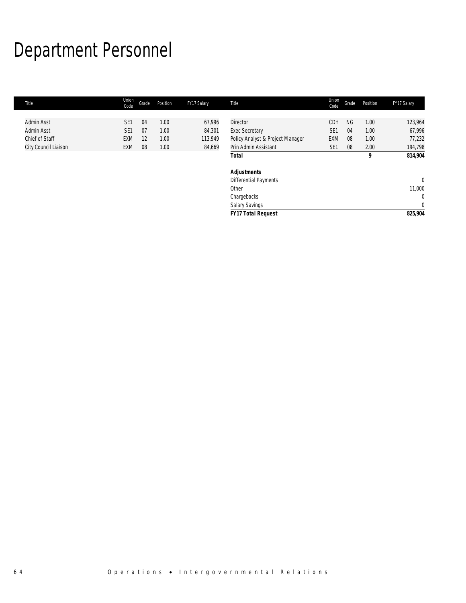# Department Personnel

| Title                | Union<br>Code   | Grade | Position | FY17 Salary | Title                            | Union<br>Code   | Grade     | Position | FY17 Salary    |
|----------------------|-----------------|-------|----------|-------------|----------------------------------|-----------------|-----------|----------|----------------|
|                      |                 |       |          |             |                                  |                 |           |          |                |
| Admin Asst           | SE <sub>1</sub> | 04    | 1.00     | 67,996      | <b>Director</b>                  | CDH             | <b>NG</b> | 1.00     | 123,964        |
| Admin Asst           | SE <sub>1</sub> | 07    | 1.00     | 84,301      | <b>Exec Secretary</b>            | SE <sub>1</sub> | 04        | 1.00     | 67,996         |
| Chief of Staff       | <b>EXM</b>      | -12   | 1.00     | 113,949     | Policy Analyst & Project Manager | EXM             | 08        | 1.00     | 77,232         |
| City Council Liaison | EXM             | 08    | 1.00     | 84,669      | Prin Admin Assistant             | SE <sub>1</sub> | 08        | 2.00     | 194,798        |
|                      |                 |       |          |             | Total                            |                 |           | 9        | 814,904        |
|                      |                 |       |          |             | Adjustments                      |                 |           |          |                |
|                      |                 |       |          |             | Differential Payments            |                 |           |          | $\overline{0}$ |
|                      |                 |       |          |             | Other                            |                 |           |          | 11,000         |
|                      |                 |       |          |             | Chargebacks                      |                 |           |          | $\mathbf{0}$   |
|                      |                 |       |          |             | Salary Savings                   |                 |           |          | $\mathbf{0}$   |
|                      |                 |       |          |             | <b>FY17 Total Request</b>        |                 |           |          | 825,904        |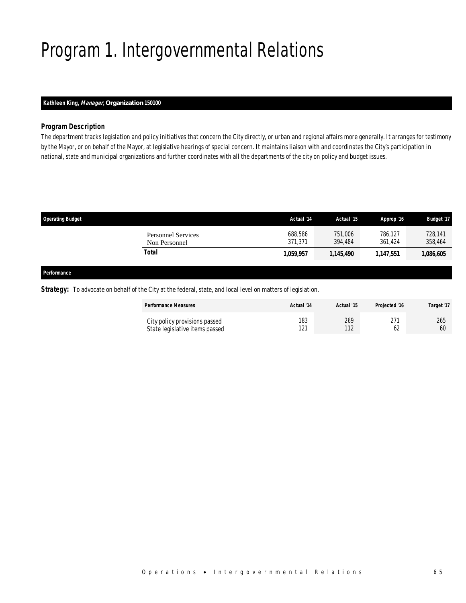# Program 1. Intergovernmental Relations

### *Kathleen King, Manager, Organization 150100*

### *Program Description*

The department tracks legislation and policy initiatives that concern the City directly, or urban and regional affairs more generally. It arranges for testimony by the Mayor, or on behalf of the Mayor, at legislative hearings of special concern. It maintains liaison with and coordinates the City's participation in national, state and municipal organizations and further coordinates with all the departments of the city on policy and budget issues.

| <b>Operating Budget</b> |                                            | Actual '14         | Actual '15         | Approp '16         | <b>Budget '17</b>  |
|-------------------------|--------------------------------------------|--------------------|--------------------|--------------------|--------------------|
|                         | <b>Personnel Services</b><br>Non Personnel | 688,586<br>371,371 | 751,006<br>394.484 | 786,127<br>361.424 | 728,141<br>358,464 |
|                         | Total                                      | 1,059,957          | 1,145,490          | 1,147,551          | 1,086,605          |
| Performance             |                                            |                    |                    |                    |                    |

### **Strategy:** To advocate on behalf of the City at the federal, state, and local level on matters of legislation.

| <b>Performance Measures</b>                                     | Actual '14 | Actual '15         | Projected '16 | Target '17 |
|-----------------------------------------------------------------|------------|--------------------|---------------|------------|
| City policy provisions passed<br>State legislative items passed | 183<br>121 | 269<br>112<br>l 12 |               | 265<br>60  |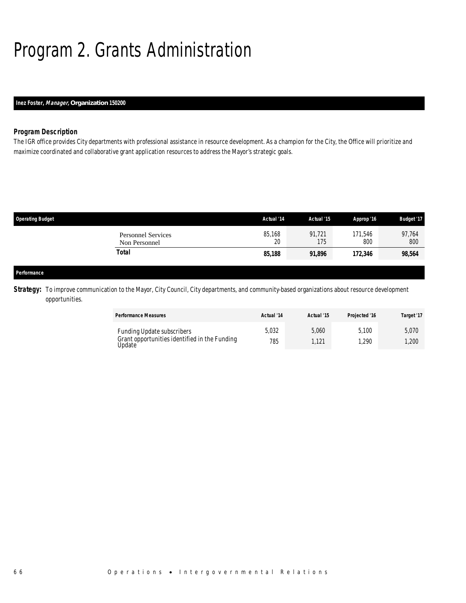# Program 2. Grants Administration

### *Inez Foster, Manager, Organization 150200*

### *Program Description*

The IGR office provides City departments with professional assistance in resource development. As a champion for the City, the Office will prioritize and maximize coordinated and collaborative grant application resources to address the Mayor's strategic goals.

| <b>Operating Budget</b> |                                            | Actual '14   | Actual '15    | Approp '16     | <b>Budget '17</b> |
|-------------------------|--------------------------------------------|--------------|---------------|----------------|-------------------|
|                         | <b>Personnel Services</b><br>Non Personnel | 85,168<br>20 | 91,721<br>175 | 171,546<br>800 | 97,764<br>800     |
|                         | <b>Total</b>                               | 85,188       | 91,896        | 172,346        | 98,564            |
|                         |                                            |              |               |                |                   |
| Performance             |                                            |              |               |                |                   |

**Strategy:** To improve communication to the Mayor, City Council, City departments, and community-based organizations about resource development opportunities.

| <b>Performance Measures</b>                                                                          | Actual '14   | Actual '15    | Projected '16 | Target '17     |
|------------------------------------------------------------------------------------------------------|--------------|---------------|---------------|----------------|
| <b>Funding Update subscribers</b><br>Grant opportunities identified in the Funding<br><b>J</b> pdate | 5,032<br>785 | 5,060<br>.121 | 5.100<br>.290 | 5,070<br>1,200 |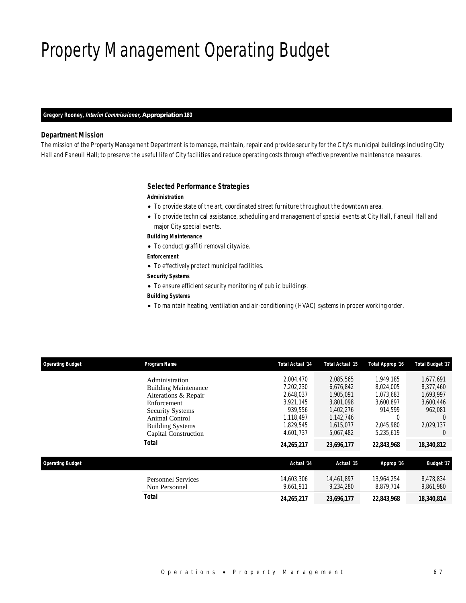# Property Management Operating Budget

### *Gregory Rooney, Interim Commissioner, Appropriation 180*

### *Department Mission*

The mission of the Property Management Department is to manage, maintain, repair and provide security for the City's municipal buildings including City Hall and Faneuil Hall; to preserve the useful life of City facilities and reduce operating costs through effective preventive maintenance measures.

#### *Selected Performance Strategies*

#### *Administration*

- To provide state of the art, coordinated street furniture throughout the downtown area.
- To provide technical assistance, scheduling and management of special events at City Hall, Faneuil Hall and major City special events.

#### *Building Maintenance*

• To conduct graffiti removal citywide.

### *Enforcement*

- To effectively protect municipal facilities.
- *Security Systems*
- To ensure efficient security monitoring of public buildings.

### *Building Systems*

• To maintain heating, ventilation and air-conditioning (HVAC) systems in proper working order.

| <b>Operating Budget</b> | Program Name                | <b>Total Actual '14</b> | <b>Total Actual '15</b> | Total Approp '16 | <b>Total Budget '17</b> |  |
|-------------------------|-----------------------------|-------------------------|-------------------------|------------------|-------------------------|--|
|                         | Administration              | 2,004,470               | 2,085,565               | 1.949.185        | 1,677,691               |  |
|                         | <b>Building Maintenance</b> | 7,202,230               | 6,676,842               | 8,024,005        | 8,377,460               |  |
|                         | Alterations & Repair        | 2,648,037               | 1,905,091               | 1,073,683        | 1,693,997               |  |
|                         | Enforcement                 | 3.921.145               | 3.801.098               | 3.600.897        | 3,600,446               |  |
|                         | <b>Security Systems</b>     | 939.556                 | 1,402,276               | 914,599          | 962,081                 |  |
|                         | Animal Control              | 1.118.497               | 1,142,746               |                  | $\left($                |  |
|                         | <b>Building Systems</b>     | 1.829.545               | 1.615.077               | 2,045,980        | 2,029,137               |  |
|                         | Capital Construction        | 4,601,737               | 5,067,482               | 5,235,619        | $\left( \right)$        |  |
|                         | <b>Total</b>                | 24,265,217              | 23,696,177              | 22,843,968       | 18,340,812              |  |
| <b>Operating Budget</b> |                             | Actual '14              | Actual '15              | Approp '16       | <b>Budget '17</b>       |  |
|                         | <b>Personnel Services</b>   | 14.603.306              | 14,461,897              | 13.964.254       | 8,478,834               |  |
|                         | Non Personnel               | 9.661.911               | 9.234.280               | 8,879,714        | 9,861,980               |  |
|                         | <b>Total</b>                | 24,265,217              | 23,696,177              | 22,843,968       | 18,340,814              |  |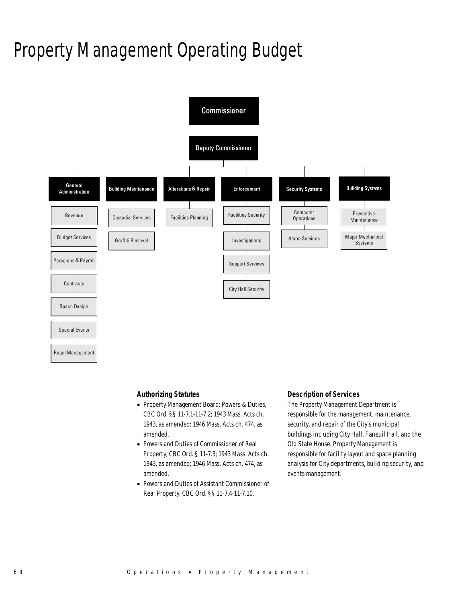# Property Management Operating Budget



### *Authorizing Statutes*

- Property Management Board: Powers & Duties, CBC Ord. §§ 11-7.1-11-7.2; 1943 Mass. Acts ch. 1943, as amended; 1946 Mass. Acts ch. 474, as amended.
- Powers and Duties of Commissioner of Real Property, CBC Ord. § 11-7.3; 1943 Mass. Acts ch. 1943, as amended; 1946 Mass. Acts ch. 474, as amended.
- Powers and Duties of Assistant Commissioner of Real Property, CBC Ord. §§ 11-7.4-11-7.10.

### *Description of Services*

The Property Management Department is responsible for the management, maintenance, security, and repair of the City's municipal buildings including City Hall, Faneuil Hall, and the Old State House. Property Management is responsible for facility layout and space planning analysis for City departments, building security, and events management.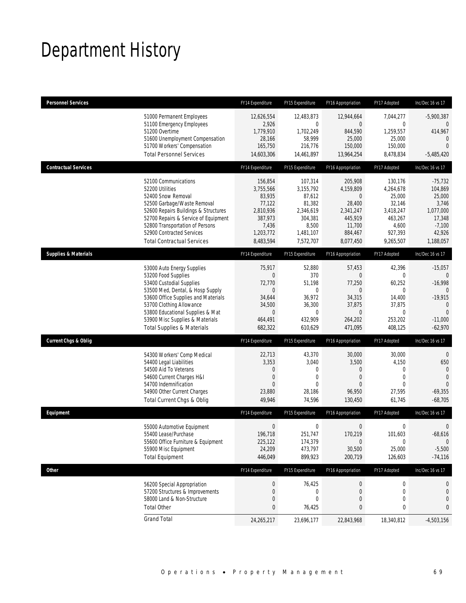## Department History

| <b>Personnel Services</b>       |                                                                                                                                                                                                                                                                                                      | FY14 Expenditure                                                                                              | FY15 Expenditure                                                                                    | FY16 Appropriation                                                                                           | FY17 Adopted                                                                                              | Inc/Dec 16 vs 17                                                                                                  |
|---------------------------------|------------------------------------------------------------------------------------------------------------------------------------------------------------------------------------------------------------------------------------------------------------------------------------------------------|---------------------------------------------------------------------------------------------------------------|-----------------------------------------------------------------------------------------------------|--------------------------------------------------------------------------------------------------------------|-----------------------------------------------------------------------------------------------------------|-------------------------------------------------------------------------------------------------------------------|
|                                 | 51000 Permanent Employees<br>51100 Emergency Employees<br>51200 Overtime<br>51600 Unemployment Compensation<br>51700 Workers' Compensation<br><b>Total Personnel Services</b>                                                                                                                        | 12,626,554<br>2,926<br>1,779,910<br>28.166<br>165,750<br>14,603,306                                           | 12,483,873<br>0<br>1,702,249<br>58,999<br>216,776<br>14,461,897                                     | 12,944,664<br>$\theta$<br>844,590<br>25,000<br>150,000<br>13,964,254                                         | 7,044,277<br>$\mathbf 0$<br>1,259,557<br>25,000<br>150,000<br>8,478,834                                   | $-5,900,387$<br>0<br>414,967<br>$\mathbf 0$<br>$\overline{0}$<br>$-5,485,420$                                     |
| <b>Contractual Services</b>     |                                                                                                                                                                                                                                                                                                      | FY14 Expenditure                                                                                              | FY15 Expenditure                                                                                    | FY16 Appropriation                                                                                           | FY17 Adopted                                                                                              | Inc/Dec 16 vs 17                                                                                                  |
|                                 | 52100 Communications<br>52200 Utilities<br>52400 Snow Removal<br>52500 Garbage/Waste Removal<br>52600 Repairs Buildings & Structures<br>52700 Repairs & Service of Equipment<br>52800 Transportation of Persons<br>52900 Contracted Services<br><b>Total Contractual Services</b>                    | 156,854<br>3,755,566<br>83,935<br>77,122<br>2,810,936<br>387,973<br>7,436<br>1,203,772<br>8,483,594           | 107,314<br>3,155,792<br>87,612<br>81,382<br>2,346,619<br>304,381<br>8,500<br>1,481,107<br>7,572,707 | 205,908<br>4,159,809<br>$\mathbf 0$<br>28,400<br>2,341,247<br>445,919<br>11,700<br>884,467<br>8,077,450      | 130,176<br>4,264,678<br>25,000<br>32,146<br>3,418,247<br>463,267<br>4,600<br>927,393<br>9,265,507         | $-75,732$<br>104,869<br>25,000<br>3,746<br>1,077,000<br>17,348<br>$-7,100$<br>42,926<br>1,188,057                 |
| <b>Supplies &amp; Materials</b> |                                                                                                                                                                                                                                                                                                      | FY14 Expenditure                                                                                              | FY15 Expenditure                                                                                    | FY16 Appropriation                                                                                           | FY17 Adopted                                                                                              | Inc/Dec 16 vs 17                                                                                                  |
|                                 | 53000 Auto Energy Supplies<br>53200 Food Supplies<br>53400 Custodial Supplies<br>53500 Med, Dental, & Hosp Supply<br>53600 Office Supplies and Materials<br>53700 Clothing Allowance<br>53800 Educational Supplies & Mat<br>53900 Misc Supplies & Materials<br><b>Total Supplies &amp; Materials</b> | 75,917<br>$\overline{0}$<br>72,770<br>$\overline{0}$<br>34,644<br>34,500<br>$\mathbf 0$<br>464,491<br>682,322 | 52,880<br>370<br>51,198<br>$\mathbf 0$<br>36.972<br>36,300<br>$\mathbf 0$<br>432,909<br>610,629     | 57,453<br>$\overline{0}$<br>77,250<br>$\theta$<br>34,315<br>37,875<br>$\boldsymbol{0}$<br>264,202<br>471,095 | 42,396<br>$\mathbf{0}$<br>60,252<br>$\mathbf 0$<br>14,400<br>37,875<br>$\mathbf{0}$<br>253,202<br>408,125 | $-15,057$<br>$\theta$<br>$-16,998$<br>$\Omega$<br>$-19,915$<br>$\mathbf{0}$<br>$\Omega$<br>$-11,000$<br>$-62,970$ |
| <b>Current Chgs &amp; Oblig</b> |                                                                                                                                                                                                                                                                                                      | FY14 Expenditure                                                                                              | FY15 Expenditure                                                                                    | FY16 Appropriation                                                                                           | FY17 Adopted                                                                                              | Inc/Dec 16 vs 17                                                                                                  |
|                                 | 54300 Workers' Comp Medical<br>54400 Legal Liabilities<br>54500 Aid To Veterans<br>54600 Current Charges H&I<br>54700 Indemnification<br>54900 Other Current Charges<br>Total Current Chgs & Oblig                                                                                                   | 22,713<br>3,353<br>0<br>$\overline{0}$<br>$\Omega$<br>23,880<br>49,946                                        | 43,370<br>3,040<br>0<br>0<br>$\Omega$<br>28,186<br>74,596                                           | 30,000<br>3,500<br>$\mathbf 0$<br>$\theta$<br>$\Omega$<br>96,950<br>130,450                                  | 30,000<br>4,150<br>$\mathbf 0$<br>$\mathbf{0}$<br>$\Omega$<br>27,595<br>61,745                            | $\theta$<br>650<br>$\theta$<br>$\mathbf{0}$<br>$\Omega$<br>$-69,355$<br>$-68,705$                                 |
| Equipment                       |                                                                                                                                                                                                                                                                                                      | FY14 Expenditure                                                                                              | FY15 Expenditure                                                                                    | FY16 Appropriation                                                                                           | FY17 Adopted                                                                                              | Inc/Dec 16 vs 17                                                                                                  |
|                                 | 55000 Automotive Equipment<br>55400 Lease/Purchase<br>55600 Office Furniture & Equipment<br>55900 Misc Equipment<br><b>Total Equipment</b>                                                                                                                                                           | $\mathbf 0$<br>196,718<br>225,122<br>24,209<br>446,049                                                        | $\boldsymbol{0}$<br>251.747<br>174,379<br>473,797<br>899,923                                        | $\boldsymbol{0}$<br>170,219<br>$\boldsymbol{0}$<br>30,500<br>200,719                                         | 0<br>101.603<br>$\boldsymbol{0}$<br>25,000<br>126,603                                                     | 0<br>$-68,616$<br>$\mathbf 0$<br>$-5,500$<br>$-74,116$                                                            |
| <b>Other</b>                    |                                                                                                                                                                                                                                                                                                      | FY14 Expenditure                                                                                              | FY15 Expenditure                                                                                    | FY16 Appropriation                                                                                           | FY17 Adopted                                                                                              | Inc/Dec 16 vs 17                                                                                                  |
|                                 | 56200 Special Appropriation<br>57200 Structures & Improvements<br>58000 Land & Non-Structure<br><b>Total Other</b>                                                                                                                                                                                   | $\pmb{0}$<br>0<br>0<br>0                                                                                      | 76,425<br>$\boldsymbol{0}$<br>0<br>76,425                                                           | $\boldsymbol{0}$<br>$\mathbf 0$<br>$\mathbf 0$<br>0                                                          | 0<br>$\boldsymbol{0}$<br>$\mathbf 0$<br>0                                                                 | 0<br>0<br>0<br>0                                                                                                  |
|                                 | <b>Grand Total</b>                                                                                                                                                                                                                                                                                   | 24,265,217                                                                                                    | 23,696,177                                                                                          | 22,843,968                                                                                                   | 18,340,812                                                                                                | $-4,503,156$                                                                                                      |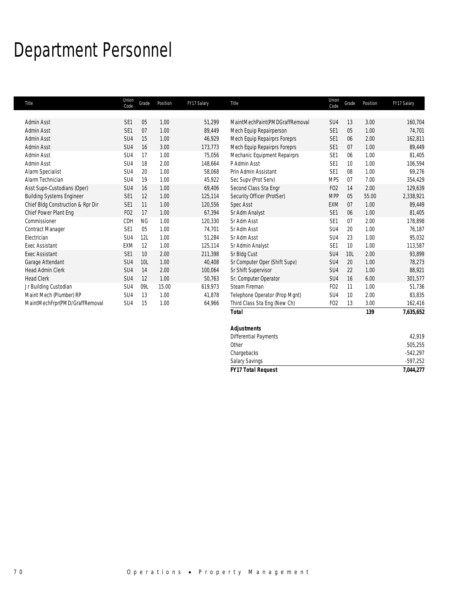## Department Personnel

| Title                             | Union<br>Code   | Grade     | Position | FY17 Salary | Title                          | Union<br>Code    | Grade | Position | FY17 Salary |
|-----------------------------------|-----------------|-----------|----------|-------------|--------------------------------|------------------|-------|----------|-------------|
| Admin Asst                        | SE <sub>1</sub> | 05        | 1.00     | 51,299      | MaintMechPaint(PMDGraffRemoval | SU <sub>4</sub>  | 13    | 3.00     | 160,704     |
| Admin Asst                        | SE <sub>1</sub> | 07        | 1.00     | 89,449      | Mech Equip Repairperson        | SE <sub>1</sub>  | 05    | 1.00     | 74,701      |
| Admin Asst                        | SU4             | 15        | 1.00     | 46,929      | Mech Equip Repairprs Foreprs   | SE <sub>1</sub>  | 06    | 2.00     | 162,811     |
| Admin Asst                        | SU4             | 16        | 3.00     | 173,773     | Mech Equip Repairprs Foreprs   | SE <sub>1</sub>  | 07    | 1.00     | 89,449      |
| Admin Asst                        | SU <sub>4</sub> | 17        | 1.00     | 75,056      | Mechanic Equipment Repairprs   | SE <sub>1</sub>  | 06    | 1.00     | 81,405      |
| Admin Asst                        | SU <sub>4</sub> | 18        | 2.00     | 148,664     | P Admin Asst                   | SE <sub>1</sub>  | 10    | 1.00     | 106,594     |
| Alarm Specialist                  | SU <sub>4</sub> | 20        | 1.00     | 58,068      | Prin Admin Assistant           | SE <sub>1</sub>  | 08    | 1.00     | 69,276      |
| Alarm Technician                  | SU4             | 19        | 1.00     | 45,922      | Sec Supv (Prot Serv)           | <b>MPS</b>       | 07    | 7.00     | 354,429     |
| Asst Supn-Custodians (Oper)       | SU4             | 16        | 1.00     | 69,406      | Second Class Sta Engr          | FO <sub>2</sub>  | 14    | 2.00     | 129,639     |
| <b>Building Systems Engineer</b>  | SE <sub>1</sub> | 12        | 1.00     | 125,114     | Security Officer (ProtSer)     | <b>MPP</b>       | 05    | 55.00    | 2,338,921   |
| Chief Bldg Construction & Rpr Dir | SE <sub>1</sub> | 11        | 1.00     | 120,556     | <b>Spec Asst</b>               | <b>EXM</b>       | 07    | 1.00     | 89,449      |
| Chief Power Plant Eng             | FO <sub>2</sub> | 17        | 1.00     | 67,394      | Sr Adm Analyst                 | SE <sub>1</sub>  | 06    | 1.00     | 81,405      |
| Commissioner                      | CDH             | <b>NG</b> | 1.00     | 120,330     | Sr Adm Asst                    | SE <sub>1</sub>  | 07    | 2.00     | 178,898     |
| <b>Contract Manager</b>           | SE1             | 05        | 1.00     | 74,701      | Sr Adm Asst                    | SU <sub>4</sub>  | 20    | 1.00     | 76,187      |
| Electrician                       | SU4             | 12L       | 1.00     | 51,284      | Sr Adm Asst                    | SU <sub>4</sub>  | 23    | 1.00     | 95,032      |
| <b>Exec Assistant</b>             | <b>EXM</b>      | 12        | 1.00     | 125,114     | Sr Admin Analyst               | SE <sub>1</sub>  | 10    | 1.00     | 113,587     |
| <b>Exec Assistant</b>             | SE <sub>1</sub> | 10        | 2.00     | 211,398     | Sr Bldg Cust                   | SU4              | 10L   | 2.00     | 93,899      |
| Garage Attendant                  | SU4             | 10L       | 1.00     | 40,408      | Sr Computer Oper (Shift Supv)  | SU4              | 20    | 1.00     | 78,273      |
| <b>Head Admin Clerk</b>           | SU4             | 14        | 2.00     | 100,064     | Sr Shift Supervisor            | SU <sub>4</sub>  | 22    | 1.00     | 88,921      |
| <b>Head Clerk</b>                 | SU4             | 12        | 1.00     | 50,763      | Sr. Computer Operator          | SU <sub>4</sub>  | 16    | 6.00     | 301,577     |
| Jr Building Custodian             | SU <sub>4</sub> | 09L       | 15.00    | 619,973     | Steam Fireman                  | F <sub>O</sub> 2 | 11    | 1.00     | 51,736      |
| Maint Mech (Plumber) RP           | SU <sub>4</sub> | 13        | 1.00     | 41,878      | Telephone Operator (Prop Mgnt) | SU <sub>4</sub>  | 10    | 2.00     | 83,835      |
| MaintMechFrpr(PMD/GraffRemoval    | SU <sub>4</sub> | 15        | 1.00     | 64,966      | Third Class Sta Eng (New Ch)   | FO <sub>2</sub>  | 13    | 3.00     | 162,416     |
|                                   |                 |           |          |             | <b>Total</b>                   |                  |       | 139      | 7,635,652   |
|                                   |                 |           |          |             | <b>Adjustments</b>             |                  |       |          |             |
|                                   |                 |           |          |             | <b>Differential Payments</b>   |                  |       |          | 42,919      |
|                                   |                 |           |          |             | Other                          |                  |       |          | 505,255     |
|                                   |                 |           |          |             | Chargebacks                    |                  |       |          | $-542,297$  |
|                                   |                 |           |          |             | Salary Savings                 |                  |       |          | $-597,252$  |

Salary Savings

*FY17 Total Request 7,044,277*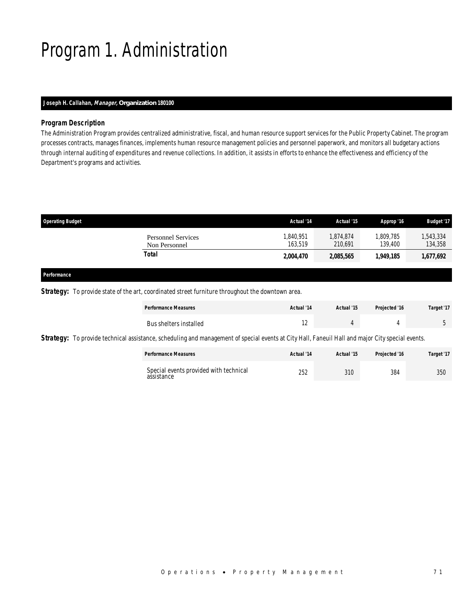# Program 1. Administration

### *Joseph H. Callahan, Manager, Organization 180100*

### *Program Description*

The Administration Program provides centralized administrative, fiscal, and human resource support services for the Public Property Cabinet. The program processes contracts, manages finances, implements human resource management policies and personnel paperwork, and monitors all budgetary actions through internal auditing of expenditures and revenue collections. In addition, it assists in efforts to enhance the effectiveness and efficiency of the Department's programs and activities.

| <b>Operating Budget</b>                    | Actual '14           | Actual '15           | Approp '16           | <b>Budget '17</b>   |
|--------------------------------------------|----------------------|----------------------|----------------------|---------------------|
| <b>Personnel Services</b><br>Non Personnel | 1,840,951<br>163.519 | 1,874,874<br>210.691 | 1,809,785<br>139.400 | ,543,334<br>134,358 |
| Total                                      | <i>2,004,470</i>     | 2,085,565            | 1.949.185            | 1,677,692           |
|                                            |                      |                      |                      |                     |

#### *Performance*

**Strategy:** To provide state of the art, coordinated street furniture throughout the downtown area.

| <b>Performance Measures</b> | Actual '14 | Actual '15 | Projected '16 | Target '17 |
|-----------------------------|------------|------------|---------------|------------|
| Bus shelters installed      | . .        |            |               |            |

Strategy: To provide technical assistance, scheduling and management of special events at City Hall, Faneuil Hall and major City special events.

| <b>Performance Measures</b>                          | Actual '14 | Actual '15 | Projected '16 | Target '17 |
|------------------------------------------------------|------------|------------|---------------|------------|
| Special events provided with technical<br>assistance | 252        | 310        | 384           | 350        |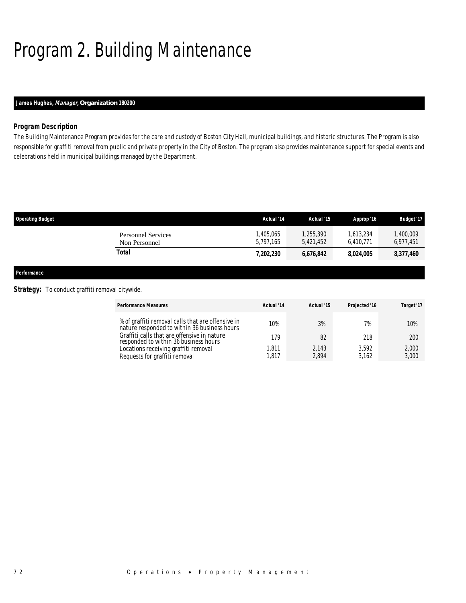# Program 2. Building Maintenance

### *James Hughes, Manager, Organization 180200*

### *Program Description*

The Building Maintenance Program provides for the care and custody of Boston City Hall, municipal buildings, and historic structures. The Program is also responsible for graffiti removal from public and private property in the City of Boston. The program also provides maintenance support for special events and celebrations held in municipal buildings managed by the Department.

| <b>Operating Budget</b>                    | Actual '14            | Actual '15             | Approp '16             | <b>Budget '17</b>     |
|--------------------------------------------|-----------------------|------------------------|------------------------|-----------------------|
| <b>Personnel Services</b><br>Non Personnel | .405.065<br>5.797.165 | 1,255,390<br>5.421.452 | 1.613.234<br>6.410.771 | ,400,009<br>6,977,451 |
| Total                                      | 7,202,230             | 6,676,842              | 8.024.005              | 8,377,460             |
|                                            |                       |                        |                        |                       |

*Performance* 

### **Strategy:** To conduct graffiti removal citywide.

| <b>Performance Measures</b>                                                                       | Actual '14 | Actual '15 | Projected '16 | Target '17 |
|---------------------------------------------------------------------------------------------------|------------|------------|---------------|------------|
| % of graffiti removal calls that are offensive in<br>nature responded to within 36 business hours | 10%        | 3%         | 7%            | 10%        |
| Graffiti calls that are offensive in nature<br>responded to within 36 business hours              | 179        | 82         | 218           | 200        |
| Locations receiving graffiti removal                                                              | 1.811      | 2,143      | 3.592         | 2,000      |
| Requests for graffiti removal                                                                     | 1,817      | 2,894      | 3.162         | 3,000      |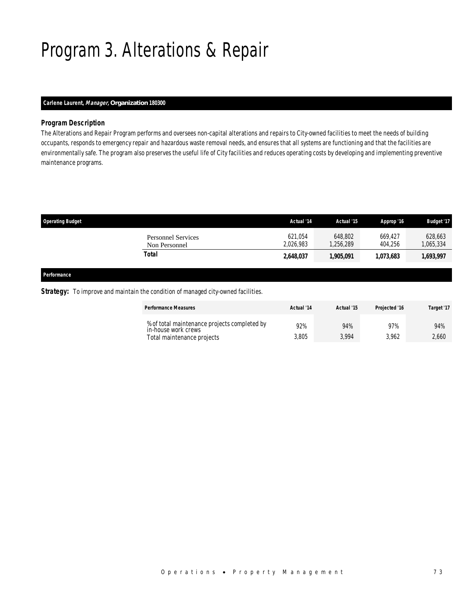# Program 3. Alterations & Repair

### *Carlene Laurent, Manager, Organization 180300*

### *Program Description*

The Alterations and Repair Program performs and oversees non-capital alterations and repairs to City-owned facilities to meet the needs of building occupants, responds to emergency repair and hazardous waste removal needs, and ensures that all systems are functioning and that the facilities are environmentally safe. The program also preserves the useful life of City facilities and reduces operating costs by developing and implementing preventive maintenance programs.

| <b>Operating Budget</b>                    | Actual '14           | Actual '15          | Approp '16         | <b>Budget '17</b>    |
|--------------------------------------------|----------------------|---------------------|--------------------|----------------------|
| <b>Personnel Services</b><br>Non Personnel | 621.054<br>2.026.983 | 648.802<br>.256.289 | 669.427<br>404.256 | 628,663<br>1,065,334 |
| Total                                      | 2,648,037            | 1,905,091           | 1.073.683          | 1,693,997            |
|                                            |                      |                     |                    |                      |

### *Performance*

#### **Strategy:** To improve and maintain the condition of managed city-owned facilities.

| <b>Performance Measures</b>                                         | Actual '14 | Actual '15 | Projected '16 | Target '17 |
|---------------------------------------------------------------------|------------|------------|---------------|------------|
| % of total maintenance projects completed by<br>in-house work crews | 92%        | 94%        | 97%           | 94%        |
| Total maintenance projects                                          | 3,805      | 3.994      | 3.962         | 2.660      |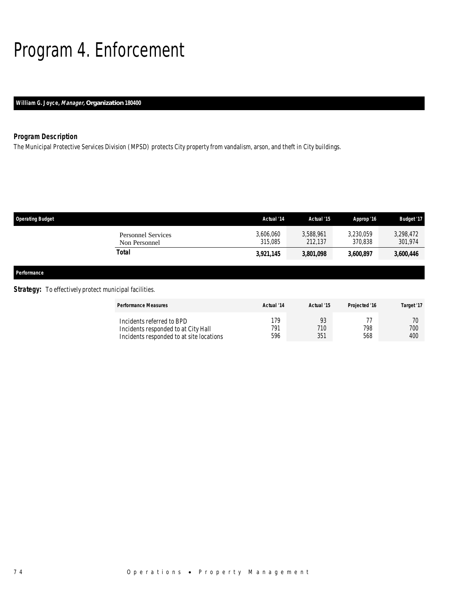# Program 4. Enforcement

### *William G. Joyce, Manager, Organization 180400*

### *Program Description*

The Municipal Protective Services Division (MPSD) protects City property from vandalism, arson, and theft in City buildings.

| <b>Operating Budget</b>                                                                                                                                                                                                        |                                            | Actual '14           | Actual '15           | Approp '16           | <b>Budget '17</b>    |
|--------------------------------------------------------------------------------------------------------------------------------------------------------------------------------------------------------------------------------|--------------------------------------------|----------------------|----------------------|----------------------|----------------------|
|                                                                                                                                                                                                                                | <b>Personnel Services</b><br>Non Personnel | 3,606,060<br>315,085 | 3,588,961<br>212,137 | 3,230,059<br>370,838 | 3,298,472<br>301,974 |
|                                                                                                                                                                                                                                | Total                                      | 3,921,145            | 3,801,098            | 3,600,897            | 3,600,446            |
| Performance                                                                                                                                                                                                                    |                                            |                      |                      |                      |                      |
| $C1$ and $C1$ and $C2$ is the $C1$ and $C1$ and $C1$ and $C1$ and $C1$ and $C1$ and $C1$ and $C1$ and $C1$ and $C1$ and $C1$ and $C1$ and $C1$ and $C1$ and $C1$ and $C1$ and $C1$ and $C1$ and $C1$ and $C1$ and $C1$ and $C$ |                                            |                      |                      |                      |                      |

### **Strategy:** To effectively protect municipal facilities.

| <b>Performance Measures</b>                                                                                  | Actual '14        | Actual '15       | <b>Projected '16</b> | Target '17       |
|--------------------------------------------------------------------------------------------------------------|-------------------|------------------|----------------------|------------------|
| Incidents referred to BPD<br>Incidents responded to at City Hall<br>Incidents responded to at site locations | 179<br>791<br>596 | 93<br>710<br>351 | 798<br>568           | 70<br>700<br>400 |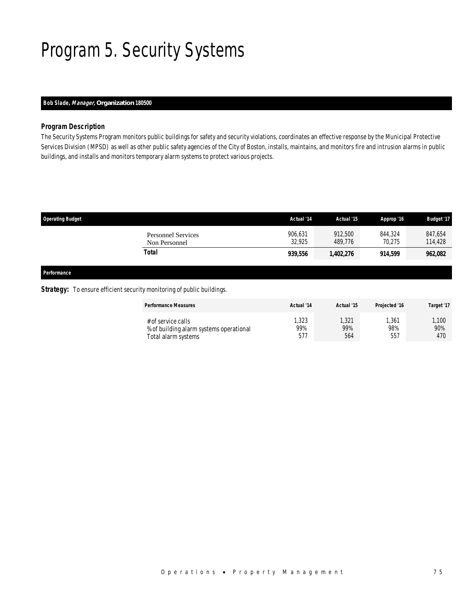# Program 5. Security Systems

### *Bob Slade, Manager, Organization 180500*

### *Program Description*

The Security Systems Program monitors public buildings for safety and security violations, coordinates an effective response by the Municipal Protective Services Division (MPSD) as well as other public safety agencies of the City of Boston, installs, maintains, and monitors fire and intrusion alarms in public buildings, and installs and monitors temporary alarm systems to protect various projects.

| <b>Operating Budget</b>                    | Actual '14        | Actual '15         | Approp '16        | Budget '17         |
|--------------------------------------------|-------------------|--------------------|-------------------|--------------------|
| <b>Personnel Services</b><br>Non Personnel | 906.631<br>32,925 | 912,500<br>489.776 | 844.324<br>70,275 | 847,654<br>114,428 |
| Total                                      | 939,556           | 1,402,276          | 914,599           | 962,082            |
|                                            |                   |                    |                   |                    |

*Performance* 

### **Strategy:** To ensure efficient security monitoring of public buildings.

| <b>Performance Measures</b>             | Actual '14 | Actual '15 | Projected '16 | Target '17 |
|-----------------------------------------|------------|------------|---------------|------------|
| # of service calls                      | ,323       | ,321       | ,361          | 1.100      |
| % of building alarm systems operational | 99%        | 99%        | 98%           | 90%        |
| Total alarm systems                     | 577        | 564        | 557           | 470        |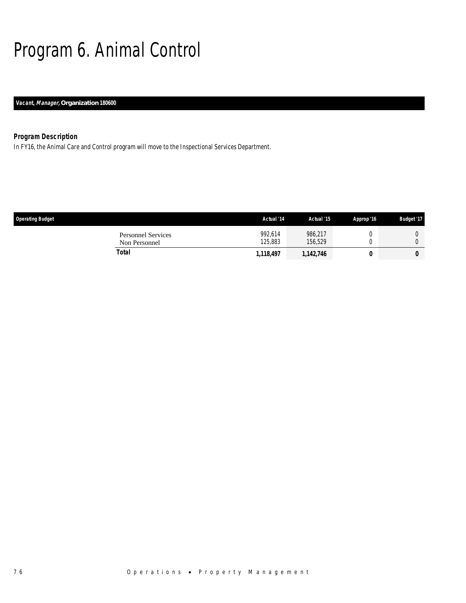# Program 6. Animal Control

*Vacant, Manager, Organization 180600* 

### *Program Description*

In FY16, the Animal Care and Control program will move to the Inspectional Services Department.

| <b>Operating Budget</b>                    | Actual '14         | Actual '15         | Approp '16 | <b>Budget '17</b> |
|--------------------------------------------|--------------------|--------------------|------------|-------------------|
| <b>Personnel Services</b><br>Non Personnel | 992.614<br>125,883 | 986.217<br>156.529 |            |                   |
| Total                                      | 1,118,497          | 1,142,746          |            | 0                 |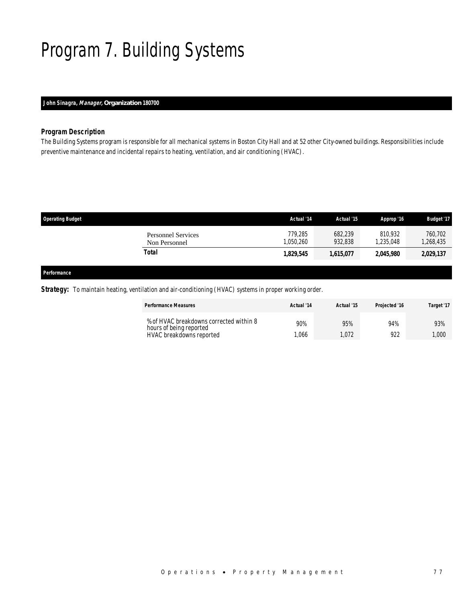# Program 7. Building Systems

### *John Sinagra, Manager, Organization 180700*

### *Program Description*

The Building Systems program is responsible for all mechanical systems in Boston City Hall and at 52 other City-owned buildings. Responsibilities include preventive maintenance and incidental repairs to heating, ventilation, and air conditioning (HVAC).

| <b>Operating Budget</b>                    | Actual '14          | Actual '15         | Approp '16           | <b>Budget '17</b>    |
|--------------------------------------------|---------------------|--------------------|----------------------|----------------------|
| <b>Personnel Services</b><br>Non Personnel | 779.285<br>.050.260 | 682,239<br>932.838 | 810.932<br>1.235.048 | 760,702<br>1,268,435 |
| Total                                      | 1,829,545           | 1,615,077          | 2,045,980            | 2,029,137            |
|                                            |                     |                    |                      |                      |

*Performance* 

*Strategy:* To maintain heating, ventilation and air-conditioning (HVAC) systems in proper working order.

| <b>Performance Measures</b>                                        | Actual '14 | Actual '15 | <b>Projected '16</b> | Target '17 |
|--------------------------------------------------------------------|------------|------------|----------------------|------------|
| % of HVAC breakdowns corrected within 8<br>hours of being reported | 90%        | 95%        | 94%                  | 93%        |
| HVAC breakdowns reported                                           | .066       | .072       | 922                  | 1.000      |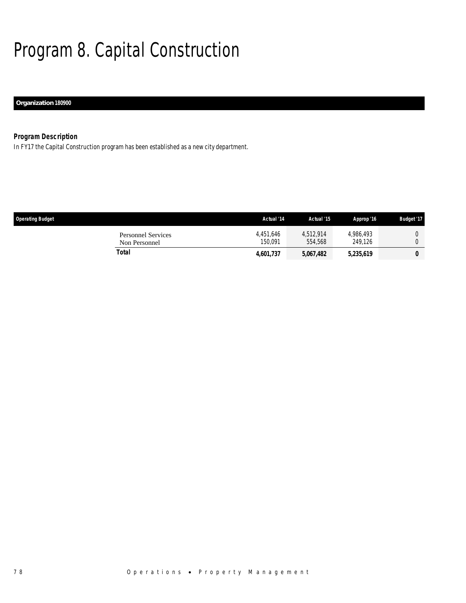# Program 8. Capital Construction

### *Organization 180900*

### *Program Description*

In FY17 the Capital Construction program has been established as a new city department.

| <b>Operating Budget</b>                    | Actual '14           | Actual '15           | Approp '16           | <b>Budget '17</b> |
|--------------------------------------------|----------------------|----------------------|----------------------|-------------------|
| <b>Personnel Services</b><br>Non Personnel | 4.451.646<br>150.091 | 4,512,914<br>554,568 | 4.986.493<br>249.126 |                   |
| Total                                      | 4,601,737            | 5,067,482            | 5,235,619            | 0                 |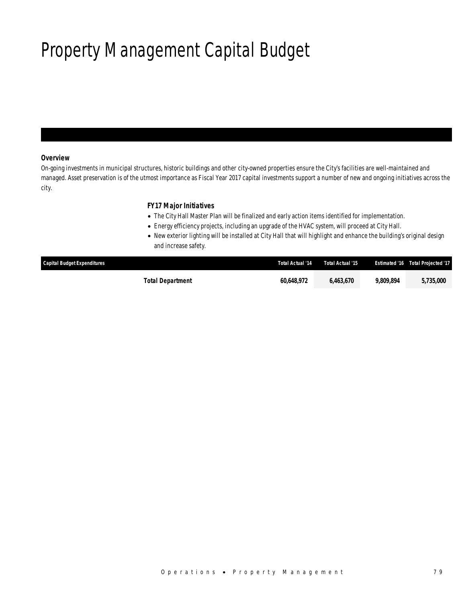# Property Management Capital Budget

### *Overview*

On-going investments in municipal structures, historic buildings and other city-owned properties ensure the City's facilities are well-maintained and managed. Asset preservation is of the utmost importance as Fiscal Year 2017 capital investments support a number of new and ongoing initiatives across the city.

### *FY17 Major Initiatives*

- The City Hall Master Plan will be finalized and early action items identified for implementation.
- Energy efficiency projects, including an upgrade of the HVAC system, will proceed at City Hall.
- New exterior lighting will be installed at City Hall that will highlight and enhance the building's original design and increase safety.

| <b>Capital Budget Expenditures</b> | Total Actual '14 | Total Actual '15 |           | Estimated '16 Total Projected '17 |
|------------------------------------|------------------|------------------|-----------|-----------------------------------|
| Total Department                   | 60.648.972       | 6.463.670        | 9.809.894 | 5,735,000                         |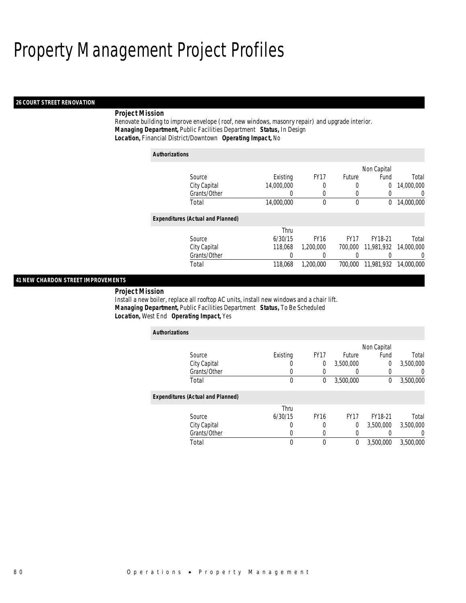### *26 COURT STREET RENOVATION*

### *Project Mission*

Renovate building to improve envelope (roof, new windows, masonry repair) and upgrade interior. *Managing Department,* Public Facilities Department *Status,* In Design*Location,* Financial District/Downtown *Operating Impact,* No

| <b>Authorizations</b>                    |            |             |                  |             |                  |
|------------------------------------------|------------|-------------|------------------|-------------|------------------|
|                                          |            |             |                  | Non Capital |                  |
| Source                                   | Existing   | <b>FY17</b> | Future           | Fund        | Total            |
| City Capital                             | 14,000,000 | 0           | 0                | 0           | 14,000,000       |
| Grants/Other                             | 0          | 0           | 0                | 0           | $\left($         |
| Total                                    | 14,000,000 | 0           | 0                | $^{0}$      | 14,000,000       |
| <b>Expenditures (Actual and Planned)</b> |            |             |                  |             |                  |
|                                          | Thru       |             |                  |             |                  |
| Source                                   | 6/30/15    | <b>FY16</b> | FY <sub>17</sub> | FY18-21     | Total            |
| City Capital                             | 118,068    | 1,200,000   | 700,000          | 11,981,932  | 14,000,000       |
| Grants/Other                             | 0          | 0           |                  |             | $\left( \right)$ |
| Total                                    | 118,068    | 1,200,000   | 700,000          | 11,981,932  | 14,000,000       |

### *41 NEW CHARDON STREET IMPROVEMENTS*

*Project Mission* 

Install a new boiler, replace all rooftop AC units, install new windows and a chair lift. *Managing Department,* Public Facilities Department *Status,* To Be Scheduled*Location,* West End *Operating Impact,* Yes

| <b>Authorizations</b>                    |          |             |             |              |                  |
|------------------------------------------|----------|-------------|-------------|--------------|------------------|
|                                          |          |             |             | Non Capital  |                  |
| Source                                   | Existing | <b>FY17</b> | Future      | Fund         | Total            |
| City Capital                             | U        | 0           | 3,500,000   | 0            | 3,500,000        |
| Grants/Other                             | O        | $\left($    |             | 0            | U                |
| Total                                    | 0        | 0           | 3,500,000   | $\mathbf{0}$ | 3,500,000        |
| <b>Expenditures (Actual and Planned)</b> |          |             |             |              |                  |
|                                          | Thru     |             |             |              |                  |
| Source                                   | 6/30/15  | <b>FY16</b> | <b>FY17</b> | FY18-21      | Total            |
| City Capital                             | 0        | 0           | 0           | 3,500,000    | 3,500,000        |
| Grants/Other                             | 0        | 0           |             |              | $\left( \right)$ |
| Total                                    | 0        | $\theta$    | 0           | 3,500,000    | 3,500,000        |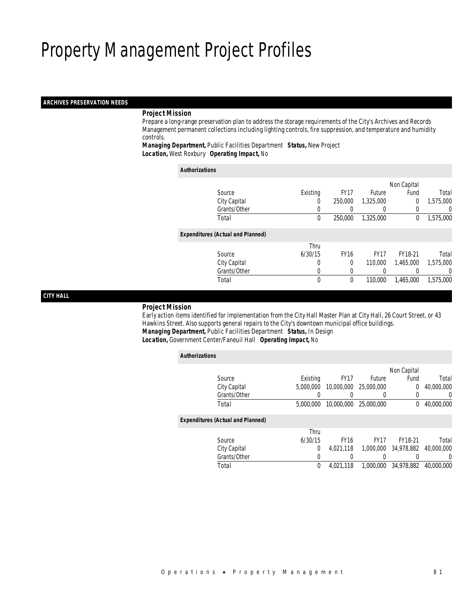### *ARCHIVES PRESERVATION NEEDS*

### *Project Mission*

 Prepare a long-range preservation plan to address the storage requirements of the City's Archives and Records Management permanent collections including lighting controls, fire suppression, and temperature and humidity controls.

*Managing Department,* Public Facilities Department *Status,* New Project*Location,* West Roxbury *Operating Impact,* No

| <b>Authorizations</b>                    |             |             |             |                |           |
|------------------------------------------|-------------|-------------|-------------|----------------|-----------|
|                                          |             |             |             | Non Capital    |           |
| Source                                   | Existing    | <b>FY17</b> | Future      | Fund           | Total     |
| City Capital                             | 0           | 250,000     | 1,325,000   | $\overline{0}$ | 1,575,000 |
| Grants/Other                             | 0           |             |             | 0              | U         |
| Total                                    | $\mathbf 0$ | 250,000     | 1,325,000   | $\theta$       | 1,575,000 |
| <b>Expenditures (Actual and Planned)</b> |             |             |             |                |           |
|                                          | Thru        |             |             |                |           |
| Source                                   | 6/30/15     | <b>FY16</b> | <b>FY17</b> | FY18-21        | Total     |
| City Capital                             | 0           | 0           | 110,000     | 1.465.000      | 1,575,000 |
| Grants/Other                             | 0           | 0           | 0           |                | 0         |
| Total                                    | $\mathbf 0$ | 0           | 110,000     | 1,465,000      | 1,575,000 |

*CITY HALL* 

#### *Project Mission*

 Early action items identified for implementation from the City Hall Master Plan at City Hall, 26 Court Street, or 43 Hawkins Street. Also supports general repairs to the City's downtown municipal office buildings. *Managing Department,* Public Facilities Department *Status,* In Design*Location,* Government Center/Faneuil Hall *Operating Impact,* No

| <b>Authorizations</b>                    |                |             |             |             |                |
|------------------------------------------|----------------|-------------|-------------|-------------|----------------|
|                                          |                |             |             | Non Capital |                |
| Source                                   | Existing       | <b>FY17</b> | Future      | Fund        | Total          |
| City Capital                             | 5,000,000      | 10,000,000  | 25,000,000  | 0           | 40,000,000     |
| Grants/Other                             |                |             |             |             | $\overline{0}$ |
| Total                                    | 5,000,000      | 10,000,000  | 25,000,000  | 0           | 40,000,000     |
| <b>Expenditures (Actual and Planned)</b> |                |             |             |             |                |
|                                          | Thru           |             |             |             |                |
| Source                                   | 6/30/15        | <b>FY16</b> | <b>FY17</b> | FY18-21     | Total          |
| City Capital                             | $\overline{0}$ | 4,021,118   | 1,000,000   | 34,978,882  | 40,000,000     |
| Grants/Other                             | 0              |             |             |             | 0              |
| Total                                    | $\theta$       | 4.021.118   | 1,000,000   | 34,978,882  | 40,000,000     |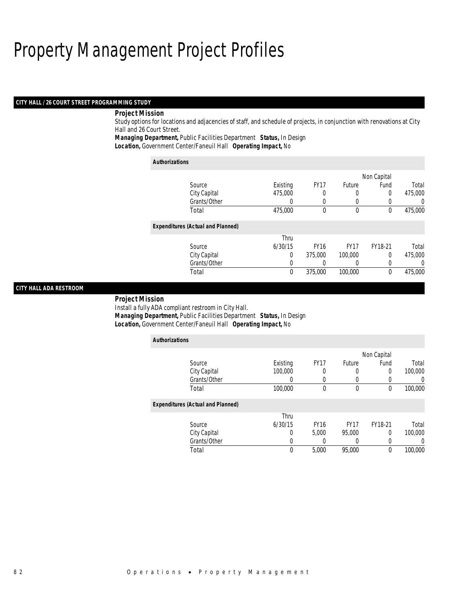### *CITY HALL / 26 COURT STREET PROGRAMMING STUDY*

### *Project Mission*

Study options for locations and adjacencies of staff, and schedule of projects, in conjunction with renovations at City Hall and 26 Court Street.

*Managing Department,* Public Facilities Department *Status,* In Design

*Location,* Government Center/Faneuil Hall *Operating Impact,* No

| <b>Authorizations</b>                    |          |             |             |             |         |
|------------------------------------------|----------|-------------|-------------|-------------|---------|
|                                          |          |             |             | Non Capital |         |
| Source                                   | Existing | <b>FY17</b> | Future      | Fund        | Total   |
| City Capital                             | 475,000  | 0           | 0           | 0           | 475,000 |
| Grants/Other                             |          | 0           |             | 0           | 0       |
| Total                                    | 475,000  | 0           | $\mathbf 0$ | 0           | 475,000 |
| <b>Expenditures (Actual and Planned)</b> |          |             |             |             |         |
|                                          | Thru     |             |             |             |         |
| Source                                   | 6/30/15  | <b>FY16</b> | <b>FY17</b> | FY18-21     | Total   |
| City Capital                             | 0        | 375,000     | 100,000     | 0           | 475,000 |
| Grants/Other                             | 0        |             | $\left($    | 0           | 0       |
| Total                                    | 0        | 375,000     | 100,000     | 0           | 475,000 |

### *CITY HALL ADA RESTROOM*

#### *Project Mission*

Install a fully ADA compliant restroom in City Hall.

*Authorizations*

*Managing Department,* Public Facilities Department *Status,* In Design

*Location,* Government Center/Faneuil Hall *Operating Impact,* No

| <b>AUUIVILLAUVIS</b>                     |                  |             |             |             |         |
|------------------------------------------|------------------|-------------|-------------|-------------|---------|
|                                          |                  |             |             | Non Capital |         |
| Source                                   | Existing         | <b>FY17</b> | Future      | Fund        | Total   |
| City Capital                             | 100,000          | 0           |             | 0           | 100,000 |
| Grants/Other                             | $\left( \right)$ | 0           |             |             | $\cup$  |
| Total                                    | 100,000          | 0           | $\theta$    | 0           | 100,000 |
| <b>Expenditures (Actual and Planned)</b> |                  |             |             |             |         |
|                                          | Thru             |             |             |             |         |
| Source                                   | 6/30/15          | <b>FY16</b> | <b>FY17</b> | FY18-21     | Total   |
| City Capital                             | 0                | 5.000       | 95,000      | 0           | 100,000 |
| Grants/Other                             |                  |             |             | 0           | $\cup$  |
| Total                                    | 0                | 5,000       | 95,000      | $\Omega$    | 100,000 |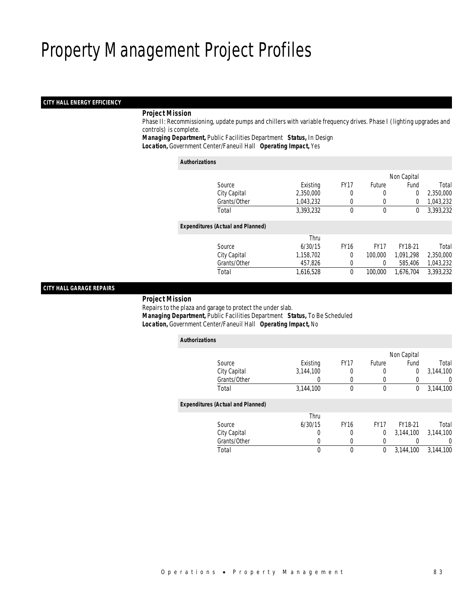### *CITY HALL ENERGY EFFICIENCY*

### *Project Mission*

 Phase II: Recommissioning, update pumps and chillers with variable frequency drives. Phase I (lighting upgrades and controls) is complete.

*Managing Department,* Public Facilities Department *Status,* In Design*Location,* Government Center/Faneuil Hall *Operating Impact,* Yes

| <b>Authorizations</b>                    |           |              |             |             |           |
|------------------------------------------|-----------|--------------|-------------|-------------|-----------|
|                                          |           |              |             | Non Capital |           |
| Source                                   | Existing  | <b>FY17</b>  | Future      | Fund        | Total     |
| City Capital                             | 2,350,000 | 0            | 0           | $\theta$    | 2,350,000 |
| Grants/Other                             | 1,043,232 | $\Omega$     | 0           | $\theta$    | 1,043,232 |
| Total                                    | 3.393.232 | 0            | $\mathbf 0$ | $\mathbf 0$ | 3,393,232 |
| <b>Expenditures (Actual and Planned)</b> |           |              |             |             |           |
|                                          | Thru      |              |             |             |           |
| Source                                   | 6/30/15   | <b>FY16</b>  | <b>FY17</b> | FY18-21     | Total     |
| City Capital                             | 1,158,702 | $\Omega$     | 100,000     | 1.091.298   | 2,350,000 |
| Grants/Other                             | 457,826   | $\Omega$     | 0           | 585,406     | 1,043,232 |
| Total                                    | 1,616,528 | $\mathbf{0}$ | 100,000     | 1,676,704   | 3,393,232 |
|                                          |           |              |             |             |           |

### *CITY HALL GARAGE REPAIRS*

*Project Mission*

 Repairs to the plaza and garage to protect the under slab. *Managing Department,* Public Facilities Department *Status,* To Be Scheduled*Location,* Government Center/Faneuil Hall *Operating Impact,* No

|                                                                                                                                                |             |             | Non Capital |           |
|------------------------------------------------------------------------------------------------------------------------------------------------|-------------|-------------|-------------|-----------|
| Existing                                                                                                                                       | <b>FY17</b> | Future      | Fund        | Total     |
| 3,144,100                                                                                                                                      |             | 0           | 0           | 3.144.100 |
| 0                                                                                                                                              | 0           | 0           | 0           | 0         |
| 3,144,100                                                                                                                                      | 0           | $\theta$    | 0           | 3,144,100 |
|                                                                                                                                                |             |             |             |           |
| Thru                                                                                                                                           |             |             |             |           |
| 6/30/15                                                                                                                                        | <b>FY16</b> | <b>FY17</b> | FY18-21     | Total     |
| 0                                                                                                                                              | 0           | 0           | 3.144.100   | 3.144.100 |
| 0                                                                                                                                              |             | 0           |             | $\left($  |
| 0                                                                                                                                              | 0           | 0           | 3.144.100   | 3.144.100 |
| Source<br>City Capital<br>Grants/Other<br>Total<br><b>Expenditures (Actual and Planned)</b><br>Source<br>City Capital<br>Grants/Other<br>Total |             |             |             |           |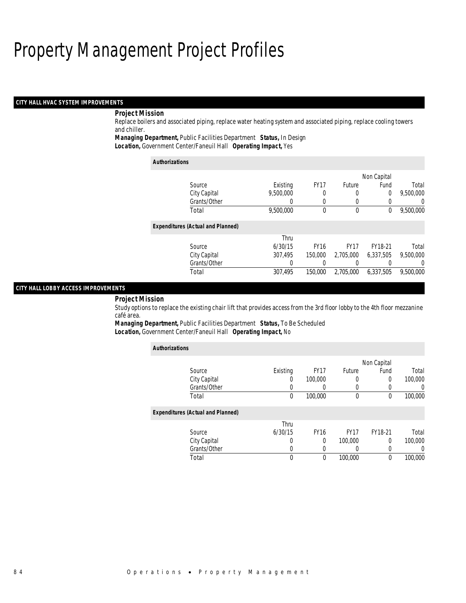### *CITY HALL HVAC SYSTEM IMPROVEMENTS*

### *Project Mission*

Replace boilers and associated piping, replace water heating system and associated piping, replace cooling towers and chiller.

*Managing Department,* Public Facilities Department *Status,* In Design

*Location,* Government Center/Faneuil Hall *Operating Impact,* Yes

| <b>Authorizations</b>                    |           |             |             |             |                  |
|------------------------------------------|-----------|-------------|-------------|-------------|------------------|
|                                          |           |             |             | Non Capital |                  |
| Source                                   | Existing  | <b>FY17</b> | Future      | Fund        | Total            |
| City Capital                             | 9.500.000 | 0           | 0           | 0           | 9,500,000        |
| Grants/Other                             |           | $\left($    |             | 0           | 0                |
| Total                                    | 9,500,000 | $\theta$    | $\theta$    | 0           | 9,500,000        |
| <b>Expenditures (Actual and Planned)</b> |           |             |             |             |                  |
|                                          | Thru      |             |             |             |                  |
| Source                                   | 6/30/15   | <b>FY16</b> | <b>FY17</b> | FY18-21     | Total            |
| City Capital                             | 307.495   | 150,000     | 2.705.000   | 6,337,505   | 9,500,000        |
| Grants/Other                             | 0         |             |             |             | $\left( \right)$ |
| Total                                    | 307.495   | 150,000     | 2.705.000   | 6.337.505   | 9.500.000        |

### *CITY HALL LOBBY ACCESS IMPROVEMENTS*

#### *Project Mission*

Study options to replace the existing chair lift that provides access from the 3rd floor lobby to the 4th floor mezzanine café area.

*Managing Department,* Public Facilities Department *Status,* To Be Scheduled*Location,* Government Center/Faneuil Hall *Operating Impact,* No

| <b>Authorizations</b>                    |          |             |                  |             |          |
|------------------------------------------|----------|-------------|------------------|-------------|----------|
|                                          |          |             |                  | Non Capital |          |
| Source                                   | Existing | <b>FY17</b> | Future           | Fund        | Total    |
| City Capital                             | $\left($ | 100,000     | 0                | $\Omega$    | 100,000  |
| Grants/Other                             | 0        | 0           | 0                |             | $\left($ |
| Total                                    | 0        | 100,000     | $\boldsymbol{0}$ | $\theta$    | 100,000  |
| <b>Expenditures (Actual and Planned)</b> |          |             |                  |             |          |
|                                          | Thru     |             |                  |             |          |
| Source                                   | 6/30/15  | <b>FY16</b> | FY <sub>17</sub> | FY18-21     | Total    |
| City Capital                             | 0        | 0           | 100,000          | 0           | 100,000  |
| Grants/Other                             | 0        | 0           |                  |             |          |
| Total                                    | 0        | 0           | 100,000          | 0           | 100,000  |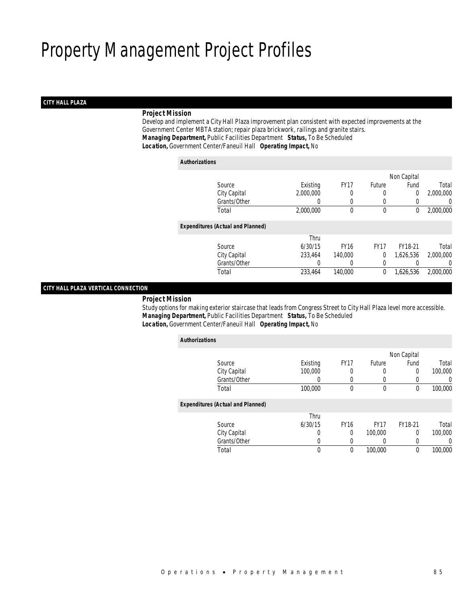### *CITY HALL PLAZA*

### *Project Mission*

 Develop and implement a City Hall Plaza improvement plan consistent with expected improvements at the Government Center MBTA station; repair plaza brickwork, railings and granite stairs. *Managing Department,* Public Facilities Department *Status,* To Be Scheduled*Location,* Government Center/Faneuil Hall *Operating Impact,* No

#### *Authorizations*

|                                          |                  |             |               | Non Capital |           |
|------------------------------------------|------------------|-------------|---------------|-------------|-----------|
| Source                                   | Existing         | <b>FY17</b> | <b>Future</b> | Fund        | Total     |
| City Capital                             | 2,000,000        | 0           | 0             | 0           | 2,000,000 |
| Grants/Other                             | $\left( \right)$ | 0           | $\left($      |             | 0         |
| Total                                    | 2,000,000        | $\bf{0}$    | $\theta$      | 0           | 2,000,000 |
| <b>Expenditures (Actual and Planned)</b> |                  |             |               |             |           |
|                                          | Thru             |             |               |             |           |
| Source                                   | 6/30/15          | <b>FY16</b> | <b>FY17</b>   | FY18-21     | Total     |
| City Capital                             | 233,464          | 140,000     | 0             | 1,626,536   | 2,000,000 |
| Grants/Other                             | 0                |             | 0             |             | 0         |
| Total                                    | 233,464          | 140,000     | 0             | 1,626,536   | 2,000,000 |
|                                          |                  |             |               |             |           |

### *CITY HALL PLAZA VERTICAL CONNECTION*

*Project Mission*

 Study options for making exterior staircase that leads from Congress Street to City Hall Plaza level more accessible. *Managing Department,* Public Facilities Department *Status,* To Be Scheduled*Location,* Government Center/Faneuil Hall *Operating Impact,* No

| <b>Authorizations</b> |                                          |          |             |             |             |                |
|-----------------------|------------------------------------------|----------|-------------|-------------|-------------|----------------|
|                       |                                          |          |             |             | Non Capital |                |
|                       | Source                                   | Existing | <b>FY17</b> | Future      | Fund        | Total          |
|                       | City Capital                             | 100,000  | 0           | 0           | 0           | 100,000        |
|                       | Grants/Other                             | 0        | 0           | 0           |             | $\overline{0}$ |
|                       | Total                                    | 100,000  | 0           | $\theta$    | 0           | 100,000        |
|                       | <b>Expenditures (Actual and Planned)</b> |          |             |             |             |                |
|                       |                                          | Thru     |             |             |             |                |
|                       | Source                                   | 6/30/15  | <b>FY16</b> | <b>FY17</b> | FY18-21     | Total          |
|                       | City Capital                             | 0        | 0           | 100,000     | 0           | 100,000        |
|                       | Grants/Other                             |          |             |             |             | 0              |
|                       | Total                                    | 0        | 0           | 100,000     | 0           | 100,000        |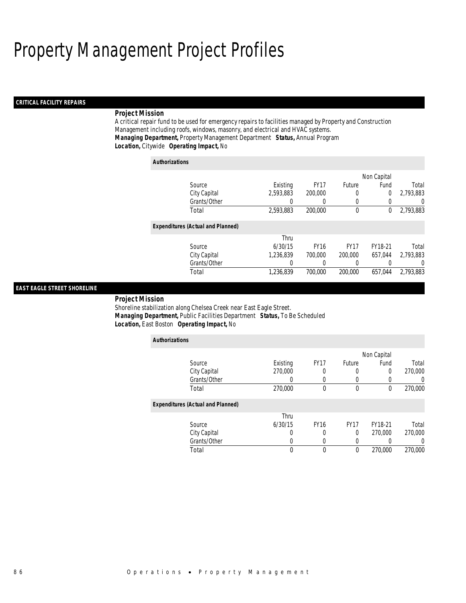### *CRITICAL FACILITY REPAIRS*

### *Project Mission*

A critical repair fund to be used for emergency repairs to facilities managed by Property and Construction Management including roofs, windows, masonry, and electrical and HVAC systems. *Managing Department,* Property Management Department *Status,* Annual Program*Location,* Citywide *Operating Impact,* No

| <b>Authorizations</b>                    |           |             |             |             |                  |
|------------------------------------------|-----------|-------------|-------------|-------------|------------------|
|                                          |           |             |             | Non Capital |                  |
| Source                                   | Existing  | <b>FY17</b> | Future      | Fund        | Total            |
| City Capital                             | 2.593.883 | 200,000     |             | 0           | 2,793,883        |
| Grants/Other                             |           | 0           |             |             | $\left( \right)$ |
| Total                                    | 2,593,883 | 200,000     | $\mathbf 0$ | 0           | 2,793,883        |
| <b>Expenditures (Actual and Planned)</b> |           |             |             |             |                  |
|                                          | Thru      |             |             |             |                  |
| Source                                   | 6/30/15   | <b>FY16</b> | <b>FY17</b> | FY18-21     | Total            |
| City Capital                             | 1.236.839 | 700,000     | 200,000     | 657.044     | 2.793.883        |
| Grants/Other                             | 0         | 0           |             | 0           | $\left($         |
| Total                                    | 1.236.839 | 700,000     | 200,000     | 657.044     | 2.793.883        |

### *EAST EAGLE STREET SHORELINE*

#### *Project Mission*

Shoreline stabilization along Chelsea Creek near East Eagle Street. *Managing Department,* Public Facilities Department *Status,* To Be Scheduled*Location,* East Boston *Operating Impact,* No

| <b>Authorizations</b>                    |          |             |             |             |         |
|------------------------------------------|----------|-------------|-------------|-------------|---------|
|                                          |          |             |             | Non Capital |         |
| Source                                   | Existing | <b>FY17</b> | Future      | Fund        | Total   |
| City Capital                             | 270,000  |             | 0           | 0           | 270,000 |
| Grants/Other                             | U        |             | 0           | 0           |         |
| Total                                    | 270,000  | 0           | $\mathbf 0$ | 0           | 270,000 |
| <b>Expenditures (Actual and Planned)</b> |          |             |             |             |         |
|                                          | Thru     |             |             |             |         |
| Source                                   | 6/30/15  | <b>FY16</b> | <b>FY17</b> | FY18-21     | Total   |
| City Capital                             |          |             | $\Omega$    | 270,000     | 270,000 |
| Grants/Other                             |          |             |             |             |         |
| Total                                    | 0        | 0           | 0           | 270,000     | 270,000 |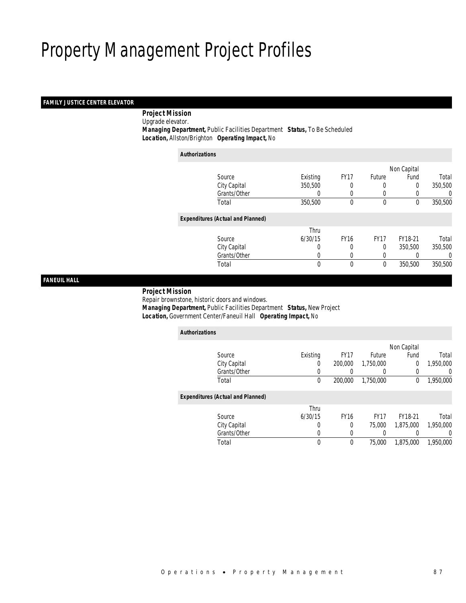### *FAMILY JUSTICE CENTER ELEVATOR*

*Project Mission*

Upgrade elevator.

 *Managing Department,* Public Facilities Department *Status,* To Be Scheduled*Location,* Allston/Brighton *Operating Impact,* No

| <b>Authorizations</b> |                                          |          |             |             |             |         |
|-----------------------|------------------------------------------|----------|-------------|-------------|-------------|---------|
|                       |                                          |          |             |             | Non Capital |         |
|                       | Source                                   | Existing | <b>FY17</b> | Future      | Fund        | Total   |
|                       | City Capital                             | 350,500  |             | 0           | 0           | 350,500 |
|                       | Grants/Other                             |          | 0           | 0           | $\left($    | 0       |
|                       | Total                                    | 350,500  | 0           | 0           | 0           | 350,500 |
|                       | <b>Expenditures (Actual and Planned)</b> |          |             |             |             |         |
|                       |                                          | Thru     |             |             |             |         |
|                       | Source                                   | 6/30/15  | <b>FY16</b> | <b>FY17</b> | FY18-21     | Total   |
|                       | City Capital                             | 0        | 0           | 0           | 350,500     | 350,500 |
|                       | Grants/Other                             | 0        | 0           | $\left($    |             | 0       |
|                       | Total                                    | 0        | $\theta$    | $\mathbf 0$ | 350,500     | 350,500 |
|                       |                                          |          |             |             |             |         |

*FANEUIL HALL* 

### *Project Mission*

Repair brownstone, historic doors and windows.

 *Managing Department,* Public Facilities Department *Status,* New Project*Location,* Government Center/Faneuil Hall *Operating Impact,* No

| <b>Authorizations</b>                    |          |             |             |             |           |
|------------------------------------------|----------|-------------|-------------|-------------|-----------|
|                                          |          |             |             | Non Capital |           |
| Source                                   | Existing | <b>FY17</b> | Future      | Fund        | Total     |
| City Capital                             | 0        | 200,000     | 1,750,000   | 0           | 1,950,000 |
| Grants/Other                             | 0        | 0           | 0           | 0           | $\left($  |
| Total                                    | 0        | 200,000     | 1.750.000   | 0           | 1,950,000 |
| <b>Expenditures (Actual and Planned)</b> |          |             |             |             |           |
|                                          | Thru     |             |             |             |           |
| Source                                   | 6/30/15  | <b>FY16</b> | <b>FY17</b> | FY18-21     | Total     |
| City Capital                             | 0        | 0           | 75,000      | 1,875,000   | 1.950.000 |
| Grants/Other                             | 0        | 0           | 0           |             | $\left($  |
| Total                                    | 0        | $\theta$    | 75,000      | 1.875.000   | 1.950.000 |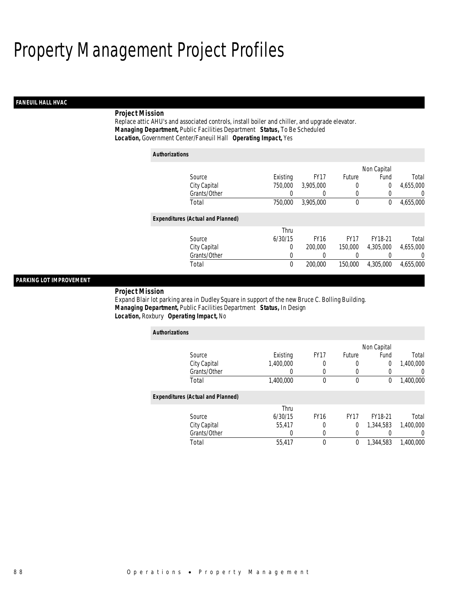### *FANEUIL HALL HVAC*

### *Project Mission*

Replace attic AHU's and associated controls, install boiler and chiller, and upgrade elevator. *Managing Department,* Public Facilities Department *Status,* To Be Scheduled*Location,* Government Center/Faneuil Hall *Operating Impact,* Yes

| <b>Authorizations</b>                    |             |                  |             |                  |           |
|------------------------------------------|-------------|------------------|-------------|------------------|-----------|
|                                          |             |                  |             | Non Capital      |           |
| Source                                   | Existing    | <b>FY17</b>      | Future      | Fund             | Total     |
| City Capital                             | 750,000     | 3.905.000        | 0           | $\overline{0}$   | 4,655,000 |
| Grants/Other                             | 0           | $\left( \right)$ | 0           | $\left( \right)$ | $\Omega$  |
| Total                                    | 750,000     | 3.905.000        | $\mathbf 0$ | 0                | 4,655,000 |
| <b>Expenditures (Actual and Planned)</b> |             |                  |             |                  |           |
|                                          | Thru        |                  |             |                  |           |
| Source                                   | 6/30/15     | <b>FY16</b>      | <b>FY17</b> | FY18-21          | Total     |
| City Capital                             | 0           | 200,000          | 150,000     | 4.305.000        | 4,655,000 |
| Grants/Other                             | 0           | 0                | 0           |                  | $\Omega$  |
| Total                                    | $\mathbf 0$ | 200,000          | 150,000     | 4,305,000        | 4,655,000 |

### *PARKING LOT IMPROVEMENT*

*Project Mission* 

Expand Blair lot parking area in Dudley Square in support of the new Bruce C. Bolling Building. *Managing Department,* Public Facilities Department *Status,* In Design*Location,* Roxbury *Operating Impact,* No

| <b>Authorizations</b>                    |           |             |             |             |                  |
|------------------------------------------|-----------|-------------|-------------|-------------|------------------|
|                                          |           |             |             | Non Capital |                  |
| Source                                   | Existing  | <b>FY17</b> | Future      | Fund        | Total            |
| City Capital                             | 1,400,000 | 0           | 0           | 0           | 1,400,000        |
| Grants/Other                             |           | 0           |             | 0           | $\left( \right)$ |
| Total                                    | 1,400,000 | $\theta$    | $\mathbf 0$ | 0           | 1,400,000        |
| <b>Expenditures (Actual and Planned)</b> |           |             |             |             |                  |
|                                          | Thru      |             |             |             |                  |
| Source                                   | 6/30/15   | <b>FY16</b> | <b>FY17</b> | FY18-21     | Total            |
| City Capital                             | 55.417    | $\Omega$    | 0           | 1.344.583   | 1.400.000        |
| Grants/Other                             | 0         | 0           | $\Omega$    | 0           | $\left( \right)$ |
| Total                                    | 55,417    | $\theta$    | 0           | 1.344.583   | 1,400,000        |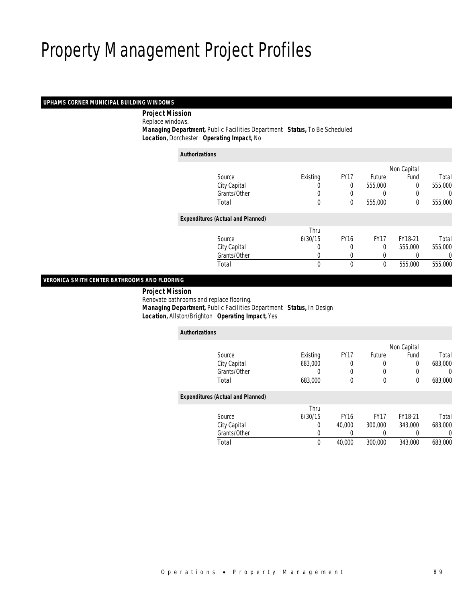### *UPHAMS CORNER MUNICIPAL BUILDING WINDOWS*

*Project Mission*

Replace windows.

*Managing Department,* Public Facilities Department *Status,* To Be Scheduled

*Location,* Dorchester *Operating Impact,* No

| <b>Authorizations</b>                    |          |             |                  |             |         |
|------------------------------------------|----------|-------------|------------------|-------------|---------|
|                                          |          |             |                  | Non Capital |         |
| Source                                   | Existing | <b>FY17</b> | Future           | Fund        | Total   |
| City Capital                             | 0        | 0           | 555,000          | 0           | 555,000 |
| Grants/Other                             | 0        |             | $\left( \right)$ | 0           | 0       |
| Total                                    | 0        | 0           | 555,000          | 0           | 555,000 |
| <b>Expenditures (Actual and Planned)</b> |          |             |                  |             |         |
|                                          | Thru     |             |                  |             |         |
| Source                                   | 6/30/15  | <b>FY16</b> | <b>FY17</b>      | FY18-21     | Total   |
| City Capital                             | 0        | 0           | 0                | 555,000     | 555,000 |
| Grants/Other                             | 0        | 0           | 0                |             | 0       |
| Total                                    | 0        | $\mathbf 0$ | $\mathbf 0$      | 555,000     | 555,000 |

### *VERONICA SMITH CENTER BATHROOMS AND FLOORING*

 *Project Mission* Renovate bathrooms and replace flooring. *Managing Department,* Public Facilities Department *Status,* In Design*Location,* Allston/Brighton *Operating Impact,* Yes

| <b>Authorizations</b><br>Non Capital<br><b>FY17</b><br>Existing<br>Fund<br>Future<br>Source<br>City Capital<br>683,000<br>0<br>0<br>0<br>Grants/Other<br>0<br>0<br>0<br>$\theta$<br>Total<br>683,000<br>0<br>0<br><b>Expenditures (Actual and Planned)</b><br>Thru<br>6/30/15<br><b>FY16</b><br><b>FY17</b><br>FY18-21<br>Source<br>343,000<br>City Capital<br>$\Omega$<br>40,000<br>300,000<br>Grants/Other<br>0<br>0<br>0 |       |             |        |         |         |         |
|-----------------------------------------------------------------------------------------------------------------------------------------------------------------------------------------------------------------------------------------------------------------------------------------------------------------------------------------------------------------------------------------------------------------------------|-------|-------------|--------|---------|---------|---------|
|                                                                                                                                                                                                                                                                                                                                                                                                                             |       |             |        |         |         |         |
|                                                                                                                                                                                                                                                                                                                                                                                                                             |       |             |        |         |         |         |
|                                                                                                                                                                                                                                                                                                                                                                                                                             |       |             |        |         |         | Total   |
|                                                                                                                                                                                                                                                                                                                                                                                                                             |       |             |        |         |         | 683,000 |
|                                                                                                                                                                                                                                                                                                                                                                                                                             |       |             |        |         |         | 0       |
|                                                                                                                                                                                                                                                                                                                                                                                                                             |       |             |        |         |         | 683,000 |
|                                                                                                                                                                                                                                                                                                                                                                                                                             |       |             |        |         |         |         |
|                                                                                                                                                                                                                                                                                                                                                                                                                             |       |             |        |         |         |         |
|                                                                                                                                                                                                                                                                                                                                                                                                                             |       |             |        |         |         | Total   |
|                                                                                                                                                                                                                                                                                                                                                                                                                             |       |             |        |         |         | 683,000 |
|                                                                                                                                                                                                                                                                                                                                                                                                                             |       |             |        |         |         | 0       |
|                                                                                                                                                                                                                                                                                                                                                                                                                             | Total | $\mathbf 0$ | 40,000 | 300,000 | 343,000 | 683,000 |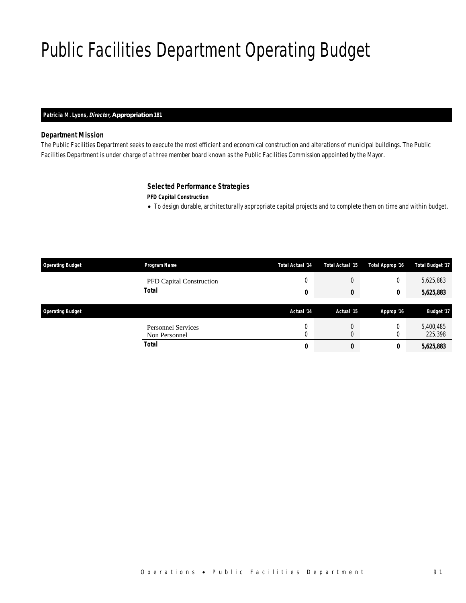# Public Facilities Department Operating Budget

### *Patricia M. Lyons, Director, Appropriation 181*

### *Department Mission*

The Public Facilities Department seeks to execute the most efficient and economical construction and alterations of municipal buildings. The Public Facilities Department is under charge of a three member board known as the Public Facilities Commission appointed by the Mayor.

### *Selected Performance Strategies*

*PFD Capital Construction* 

• To design durable, architecturally appropriate capital projects and to complete them on time and within budget.

| <b>Operating Budget</b> | Program Name                               | Total Actual '14 | Total Actual '15 | Total Approp '16 | <b>Total Budget '17</b> |
|-------------------------|--------------------------------------------|------------------|------------------|------------------|-------------------------|
|                         | <b>PFD Capital Construction</b>            | U                | C                |                  | 5,625,883               |
|                         | <b>Total</b>                               | 0                | 0                | 0                | 5,625,883               |
| <b>Operating Budget</b> |                                            | Actual '14       | Actual '15       | Approp '16       | Budget '17              |
|                         | <b>Personnel Services</b><br>Non Personnel | U<br>0           | U<br>C           |                  | 5,400,485<br>225,398    |
|                         | <b>Total</b>                               | 0                | 0                | 0                | 5,625,883               |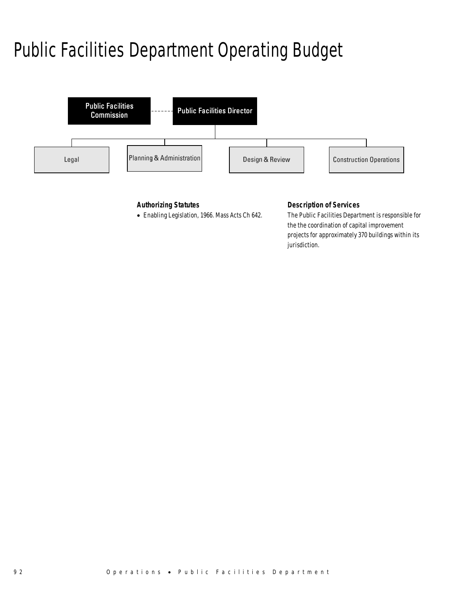# Public Facilities Department Operating Budget



### *Authorizing Statutes*

• Enabling Legislation, 1966. Mass Acts Ch 642.

### *Description of Services*

The Public Facilities Department is responsible for the the coordination of capital improvement projects for approximately 370 buildings within its jurisdiction.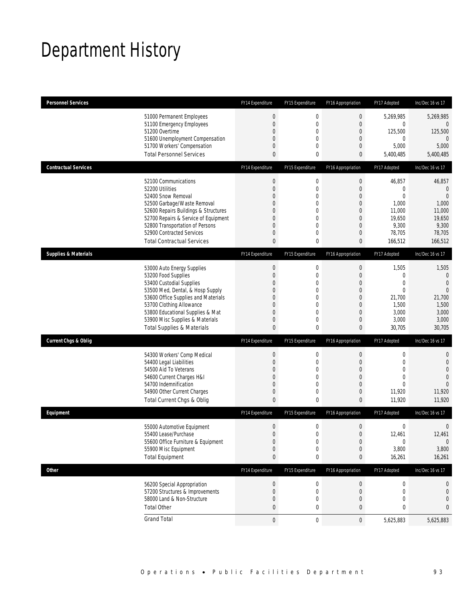## Department History

| <b>Personnel Services</b>                                                                                                                                                                                                                                                                            | FY14 Expenditure                                                          | FY15 Expenditure                                                                                                    | FY16 Appropriation                                                                                                                                 | FY17 Adopted                                                                             | Inc/Dec 16 vs 17                                                                              |
|------------------------------------------------------------------------------------------------------------------------------------------------------------------------------------------------------------------------------------------------------------------------------------------------------|---------------------------------------------------------------------------|---------------------------------------------------------------------------------------------------------------------|----------------------------------------------------------------------------------------------------------------------------------------------------|------------------------------------------------------------------------------------------|-----------------------------------------------------------------------------------------------|
| 51000 Permanent Employees<br>51100 Emergency Employees<br>51200 Overtime<br>51600 Unemployment Compensation<br>51700 Workers' Compensation<br><b>Total Personnel Services</b>                                                                                                                        | $\boldsymbol{0}$<br>$\overline{0}$<br>0<br>0<br>0<br>0                    | $\mathbf 0$<br>$\overline{0}$<br>$\mathbf 0$<br>0<br>0<br>0                                                         | $\boldsymbol{0}$<br>$\overline{0}$<br>$\boldsymbol{0}$<br>$\theta$<br>$\mathbf 0$<br>0                                                             | 5,269,985<br>0<br>125,500<br>0<br>5,000<br>5,400,485                                     | 5,269,985<br>0<br>125,500<br>$\theta$<br>5,000<br>5,400,485                                   |
| <b>Contractual Services</b>                                                                                                                                                                                                                                                                          | FY14 Expenditure                                                          | FY15 Expenditure                                                                                                    | FY16 Appropriation                                                                                                                                 | FY17 Adopted                                                                             | Inc/Dec 16 vs 17                                                                              |
| 52100 Communications<br>52200 Utilities<br>52400 Snow Removal<br>52500 Garbage/Waste Removal<br>52600 Repairs Buildings & Structures<br>52700 Repairs & Service of Equipment<br>52800 Transportation of Persons<br>52900 Contracted Services<br><b>Total Contractual Services</b>                    | $\boldsymbol{0}$<br>$\mathbf 0$<br>$\Omega$<br>0<br>0<br>0<br>0<br>0<br>0 | $\boldsymbol{0}$<br>$\mathbf 0$<br>$\overline{0}$<br>$\mathbf 0$<br>0<br>$\overline{0}$<br>$\overline{0}$<br>0<br>0 | $\boldsymbol{0}$<br>$\boldsymbol{0}$<br>$\mathbf{0}$<br>$\boldsymbol{0}$<br>$\theta$<br>$\mathbf 0$<br>$\boldsymbol{0}$<br>$\mathbf 0$<br>$\bf{0}$ | 46,857<br>0<br>$\overline{0}$<br>1,000<br>11,000<br>19,650<br>9,300<br>78,705<br>166,512 | 46,857<br>$\theta$<br>$\mathbf{0}$<br>1,000<br>11,000<br>19,650<br>9,300<br>78,705<br>166,512 |
| <b>Supplies &amp; Materials</b>                                                                                                                                                                                                                                                                      | FY14 Expenditure                                                          | FY15 Expenditure                                                                                                    | FY16 Appropriation                                                                                                                                 | FY17 Adopted                                                                             | Inc/Dec 16 vs 17                                                                              |
| 53000 Auto Energy Supplies<br>53200 Food Supplies<br>53400 Custodial Supplies<br>53500 Med, Dental, & Hosp Supply<br>53600 Office Supplies and Materials<br>53700 Clothing Allowance<br>53800 Educational Supplies & Mat<br>53900 Misc Supplies & Materials<br><b>Total Supplies &amp; Materials</b> | $\boldsymbol{0}$<br>$\mathbf 0$<br>0<br>0<br>0<br>0<br>0<br>0<br>0        | $\mathbf 0$<br>$\overline{0}$<br>0<br>$\mathbf 0$<br>0<br>0<br>$\overline{0}$<br>0<br>0                             | $\boldsymbol{0}$<br>$\boldsymbol{0}$<br>$\theta$<br>$\boldsymbol{0}$<br>$\theta$<br>$\mathbf 0$<br>$\mathbf{0}$<br>$\mathbf 0$<br>$\bf{0}$         | 1,505<br>0<br>$\overline{0}$<br>0<br>21,700<br>1,500<br>3,000<br>3,000<br>30,705         | 1,505<br>0<br>$\overline{0}$<br>$\overline{0}$<br>21,700<br>1,500<br>3,000<br>3,000<br>30,705 |
| <b>Current Chgs &amp; Oblig</b>                                                                                                                                                                                                                                                                      | FY14 Expenditure                                                          | FY15 Expenditure                                                                                                    | FY16 Appropriation                                                                                                                                 | FY17 Adopted                                                                             | Inc/Dec 16 vs 17                                                                              |
| 54300 Workers' Comp Medical<br>54400 Legal Liabilities<br>54500 Aid To Veterans<br>54600 Current Charges H&I<br>54700 Indemnification<br>54900 Other Current Charges<br>Total Current Chgs & Oblig                                                                                                   | $\boldsymbol{0}$<br>$\mathbf 0$<br>0<br>0<br>0<br>0<br>0                  | 0<br>$\mathbf 0$<br>0<br>$\mathbf 0$<br>$\overline{0}$<br>0<br>0                                                    | $\boldsymbol{0}$<br>$\boldsymbol{0}$<br>$\mathbf{0}$<br>$\boldsymbol{0}$<br>$\mathbf{0}$<br>$\boldsymbol{0}$<br>$\bf{0}$                           | 0<br>$\mathbf 0$<br>$\overline{0}$<br>$\overline{0}$<br>$\theta$<br>11,920<br>11,920     | 0<br>$\mathbf 0$<br>$\overline{0}$<br>$\overline{0}$<br>$\Omega$<br>11,920<br>11,920          |
| Equipment                                                                                                                                                                                                                                                                                            | FY14 Expenditure                                                          | FY15 Expenditure                                                                                                    | FY16 Appropriation                                                                                                                                 | FY17 Adopted                                                                             | Inc/Dec 16 vs 17                                                                              |
| 55000 Automotive Equipment<br>55400 Lease/Purchase<br>55600 Office Furniture & Equipment<br>55900 Misc Equipment<br><b>Total Equipment</b>                                                                                                                                                           | $\boldsymbol{0}$<br>$\overline{0}$<br>0<br>0<br>0                         | 0<br>0<br>0<br>$\mathbf 0$<br>0                                                                                     | $\boldsymbol{0}$<br>$\overline{0}$<br>$\bf{0}$<br>$\boldsymbol{0}$<br>0                                                                            | 0<br>12,461<br>0<br>3,800<br>16,261                                                      | $\mathbf 0$<br>12,461<br>$\mathbf{0}$<br>3,800<br>16,261                                      |
| <b>Other</b>                                                                                                                                                                                                                                                                                         | FY14 Expenditure                                                          | FY15 Expenditure                                                                                                    | FY16 Appropriation                                                                                                                                 | FY17 Adopted                                                                             | Inc/Dec 16 vs 17                                                                              |
| 56200 Special Appropriation<br>57200 Structures & Improvements<br>58000 Land & Non-Structure<br><b>Total Other</b>                                                                                                                                                                                   | 0<br>0<br>0<br>0                                                          | 0<br>0<br>$\mathbf 0$<br>0                                                                                          | $\pmb{0}$<br>$\boldsymbol{0}$<br>$\mathbf 0$<br>0                                                                                                  | 0<br>0<br>0<br>0                                                                         | 0<br>0<br>0<br>0                                                                              |
| <b>Grand Total</b>                                                                                                                                                                                                                                                                                   | $\boldsymbol{0}$                                                          | $\boldsymbol{0}$                                                                                                    | $\mathbf 0$                                                                                                                                        | 5,625,883                                                                                | 5,625,883                                                                                     |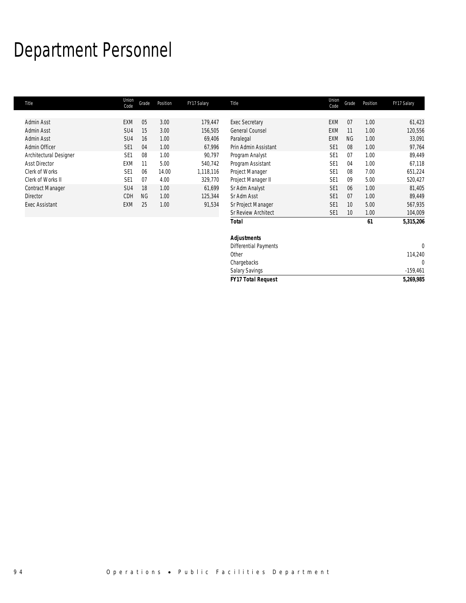## Department Personnel

 $\overline{\phantom{a}}$ 

| Title                   | Union<br>Code   | Grade     | Position | FY17 Salary | Title                   | Union<br>Code   | Grade     | Position | FY17 Salary |
|-------------------------|-----------------|-----------|----------|-------------|-------------------------|-----------------|-----------|----------|-------------|
|                         |                 |           |          |             |                         |                 |           |          |             |
| Admin Asst              | EXM             | 05        | 3.00     | 179,447     | <b>Exec Secretary</b>   | <b>EXM</b>      | 07        | 1.00     | 61,423      |
| Admin Asst              | SU <sub>4</sub> | 15        | 3.00     | 156,505     | General Counsel         | <b>EXM</b>      | 11        | 1.00     | 120,556     |
| Admin Asst              | SU4             | 16        | 1.00     | 69,406      | Paralegal               | <b>EXM</b>      | <b>NG</b> | 1.00     | 33,091      |
| Admin Officer           | SE <sub>1</sub> | 04        | 1.00     | 67,996      | Prin Admin Assistant    | SE <sub>1</sub> | 08        | 1.00     | 97,764      |
| Architectural Designer  | SE <sub>1</sub> | 08        | 1.00     | 90,797      | Program Analyst         | SE <sub>1</sub> | 07        | 1.00     | 89,449      |
| <b>Asst Director</b>    | <b>EXM</b>      | 11        | 5.00     | 540,742     | Program Assistant       | SE <sub>1</sub> | 04        | 1.00     | 67,118      |
| Clerk of Works          | SE <sub>1</sub> | 06        | 14.00    | 1,118,116   | Project Manager         | SE <sub>1</sub> | 08        | 7.00     | 651,224     |
| Clerk of Works II       | SE <sub>1</sub> | 07        | 4.00     | 329,770     | Project Manager II      | SE <sub>1</sub> | 09        | 5.00     | 520,427     |
| <b>Contract Manager</b> | SU <sub>4</sub> | 18        | 1.00     | 61,699      | Sr Adm Analyst          | SE <sub>1</sub> | 06        | 1.00     | 81,405      |
| Director                | CDH             | <b>NG</b> | 1.00     | 125,344     | Sr Adm Asst             | SE <sub>1</sub> | 07        | 1.00     | 89,449      |
| <b>Exec Assistant</b>   | EXM             | 25        | 1.00     | 91,534      | Sr Project Manager      | SE <sub>1</sub> | 10        | 5.00     | 567,935     |
|                         |                 |           |          |             | Sr Review Architect     | SE <sub>1</sub> | 10        | 1.00     | 104,009     |
|                         |                 |           |          |             | Total                   |                 |           | 61       | 5,315,206   |
|                         |                 |           |          |             | <b>Adjustments</b>      |                 |           |          |             |
|                         |                 |           |          |             | Differential Deciminate |                 |           |          | $\sim$      |

| <b>FY17 Total Request</b> | 5,269,985  |
|---------------------------|------------|
| <b>Salary Savings</b>     | $-159.461$ |
| Chargebacks               |            |
| Other                     | 114.240    |
| Differential Payments     |            |